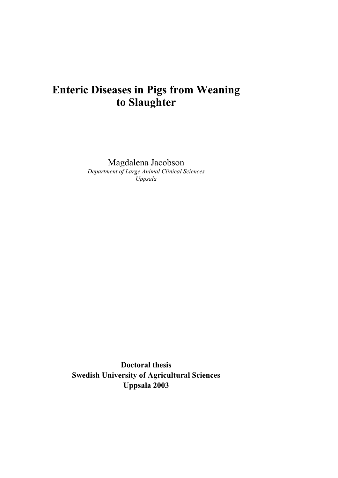# **Enteric Diseases in Pigs from Weaning to Slaughter**

Magdalena Jacobson *Department of Large Animal Clinical Sciences Uppsala*

**Doctoral thesis Swedish University of Agricultural Sciences Uppsala 2003**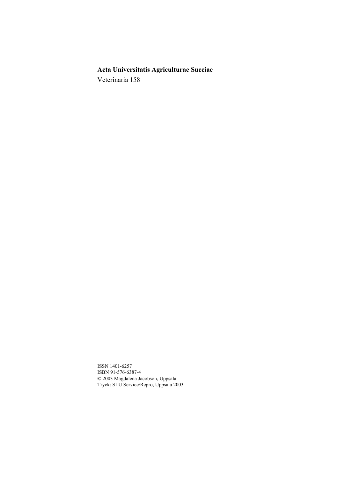# **Acta Universitatis Agriculturae Sueciae**

Veterinaria 158

ISSN 1401-6257 ISBN 91-576-6387-4 © 2003 Magdalena Jacobson, Uppsala Tryck: SLU Service/Repro, Uppsala 2003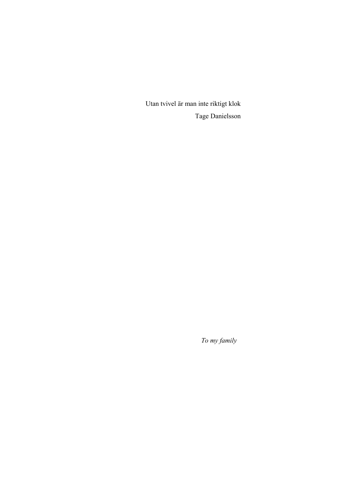Utan tvivel är man inte riktigt klok Tage Danielsson

*To my family*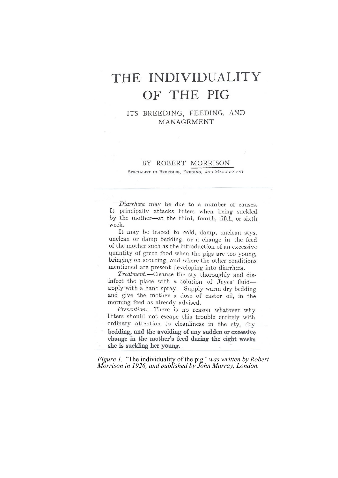# THE INDIVIDUALITY OF THE PIG

ITS BREEDING, FEEDING, AND MANAGEMENT

#### BY ROBERT MORRISON

SPECIALIST IN BREEDING, FEEDING, AND MANAGEMENT

Diarrhœa may be due to a number of causes. It principally attacks litters when being suckled by the mother-at the third, fourth, fifth, or sixth week.

It may be traced to cold, damp, unclean stys. unclean or damp bedding, or a change in the feed of the mother such as the introduction of an excessive quantity of green food when the pigs are too young, bringing on scouring, and where the other conditions mentioned are present developing into diarrhœa.

Treatment.--Cleanse the sty thoroughly and disinfect the place with a solution of Jeyes' fluidapply with a hand spray. Supply warm dry bedding and give the mother a dose of castor oil, in the morning feed as already advised.

Prevention.-There is no reason whatever why litters should not escape this trouble entirely with ordinary attention to cleanliness in the sty, dry bedding, and the avoiding of any sudden or excessive change in the mother's feed during the eight weeks she is suckling her young.

*Figure 1. "*The individuality of the pig*" was written by Robert Morrison in 1926, and published by John Murray, London.*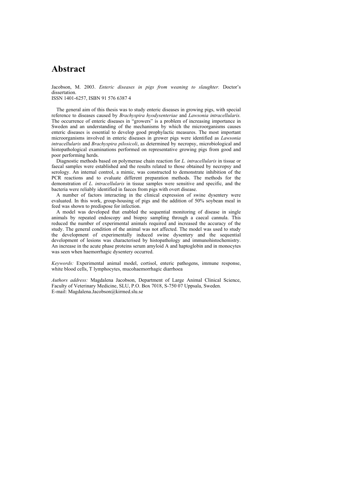# **Abstract**

Jacobson, M. 2003. *Enteric diseases in pigs from weaning to slaughter.* Doctor's dissertation.

ISSN 1401-6257, ISBN 91 576 6387 4

The general aim of this thesis was to study enteric diseases in growing pigs, with special reference to diseases caused by *Brachyspira hyodysenteriae* and *Lawsonia intracellularis.* The occurrence of enteric diseases in "growers" is a problem of increasing importance in Sweden and an understanding of the mechanisms by which the microorganisms causes enteric diseases is essential to develop good prophylactic measures. The most important microorganisms involved in enteric diseases in grower pigs were identified as *Lawsonia intracellularis* and *Brachyspira pilosicoli*, as determined by necropsy, microbiological and histopathological examinations performed on representative growing pigs from good and poor performing herds.

Diagnostic methods based on polymerase chain reaction for *L. intracellularis* in tissue or faecal samples were established and the results related to those obtained by necropsy and serology. An internal control, a mimic, was constructed to demonstrate inhibition of the PCR reactions and to evaluate different preparation methods. The methods for the demonstration of *L. intracellularis* in tissue samples were sensitive and specific, and the bacteria were reliably identified in faeces from pigs with overt disease.

A number of factors interacting in the clinical expression of swine dysentery were evaluated. In this work, group-housing of pigs and the addition of 50% soybean meal in feed was shown to predispose for infection.

A model was developed that enabled the sequential monitoring of disease in single animals by repeated endoscopy and biopsy sampling through a caecal cannula. This reduced the number of experimental animals required and increased the accuracy of the study. The general condition of the animal was not affected. The model was used to study the development of experimentally induced swine dysentery and the sequential development of lesions was characterised by histopathology and immunohistochemistry. An increase in the acute phase proteins serum amyloid A and haptoglobin and in monocytes was seen when haemorrhagic dysentery occurred.

*Keywords:* Experimental animal model, cortisol, enteric pathogens, immune response, white blood cells, T lymphocytes, mucohaemorrhagic diarrhoea

*Authors address:* Magdalena Jacobson, Department of Large Animal Clinical Science, Faculty of Veterinary Medicine, SLU, P.O. Box 7018, S-750 07 Uppsala, Sweden. E-mail: Magdalena.Jacobson@kirmed.slu.se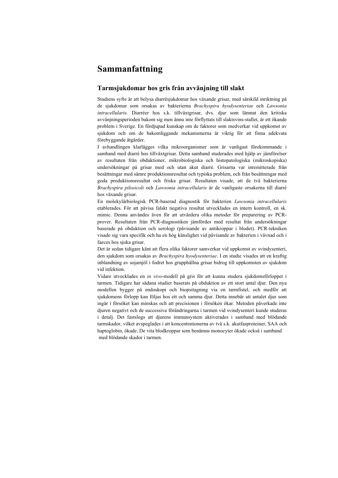# **Sammanfattning**

#### **Tarmsjukdomar hos gris från avvänjning till slakt**

Studiens syfte är att belysa diarrésjukdomar hos växande grisar, med särskild inriktning på de sjukdomar som orsakas av bakterierna *Brachyspira hyodysenteriae* och *Lawsonia intracellularis.* Diarréer hos s.k. tillväxtgrisar, dvs. djur som lämnat den kritiska avvänjningsperioden bakom sig men ännu inte förflyttats till slaktsvins-stallet, är ett ökande problem i Sverige. En fördjupad kunskap om de faktorer som medverkar vid uppkomst av sjukdom och om de bakomliggande mekanismerna är viktig för att finna adekvata förebyggande åtgärder.

I avhandlingen klarlägges vilka mikroorganismer som är vanligast förekommande i samband med diarré hos tillväxtgrisar. Detta samband studerades med hjälp av jämförelser av resultaten från obduktioner, mikrobiologiska och histopatologiska (mikroskopiska) undersökningar på grisar med och utan akut diarré. Grisarna var inremitterade från besättningar med sämre produktionsresultat och typiska problem, och från besättningar med goda produktionsresultat och friska grisar. Resultaten visade, att de två bakterierna *Brachyspira pilosicoli* och *Lawsonia intracellularis* är de vanligaste orsakerna till diarré hos växande grisar.

En molekylärbiologisk PCR-baserad diagnostik för bakterien *Lawsonia intracellularis* etablerades. För att påvisa falskt negativa resultat utvecklades en intern kontroll, en sk. mimic. Denna användes även för att utvärdera olika metoder för preparering av PCRprover. Resultaten från PCR-diagnostiken jämfördes med resultat från undersökningar baserade på obduktion och serologi (påvisande av antikroppar i blodet). PCR-tekniken visade sig vara specifik och ha en hög känslighet vid påvisande av bakterien i vävnad och i faeces hos sjuka grisar.

Det är sedan tidigare känt att flera olika faktorer samverkar vid uppkomst av svindysenteri, den sjukdom som orsakas av *Brachyspira hyodysenteriae*. I en studie visades att en kraftig inblandning av sojamjöl i fodret hos grupphållna grisar bidrog till uppkomsten av sjukdom vid infektion.

Vidare utvecklades en *in vivo*-modell på gris för att kunna studera sjukdomsförloppet i tarmen. Tidigare har sådana studier baserats på obduktion av ett stort antal djur. Den nya modellen bygger på endoskopi och biopsitagning via en tarmfistel, och medför att sjukdomens förlopp kan följas hos ett och samma djur. Detta innebär att antalet djur som ingår i försöket kan minskas och att precisionen i försöken ökar. Metoden påverkade inte djuren negativt och de successiva förändringarna i tarmen vid svindysenteri kunde studeras i detalj. Det fastslogs att djurens immunsystem aktiverades i samband med blödande tarmskador, vilket avspeglades i att koncentrationerna av två s.k. akutfasproteiner, SAA och haptoglobin, ökade. De vita blodkroppar som benämns monocyter ökade också i samband med blödande skador i tarmen.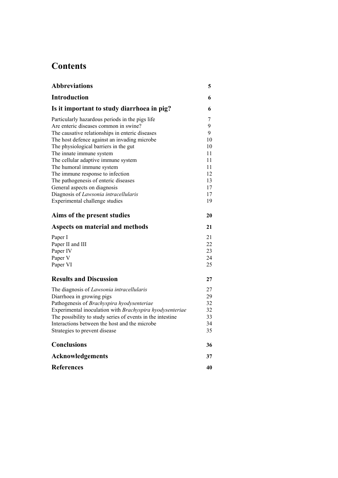# **Contents**

| <b>Abbreviations</b>                                       | 5  |
|------------------------------------------------------------|----|
| <b>Introduction</b>                                        | 6  |
| Is it important to study diarrhoea in pig?                 | 6  |
| Particularly hazardous periods in the pigs life            | 7  |
| Are enteric diseases common in swine?                      | 9  |
| The causative relationships in enteric diseases            | 9  |
| The host defence against an invading microbe               | 10 |
| The physiological barriers in the gut                      | 10 |
| The innate immune system                                   | 11 |
| The cellular adaptive immune system                        | 11 |
| The humoral immune system                                  | 11 |
| The immune response to infection                           | 12 |
| The pathogenesis of enteric diseases                       | 13 |
| General aspects on diagnosis                               | 17 |
| Diagnosis of Lawsonia intracellularis                      | 17 |
| Experimental challenge studies                             | 19 |
| Aims of the present studies                                | 20 |
| Aspects on material and methods                            | 21 |
| Paper I                                                    | 21 |
| Paper II and III                                           | 22 |
| Paper IV                                                   | 23 |
| Paper V                                                    | 24 |
| Paper VI                                                   | 25 |
| <b>Results and Discussion</b>                              | 27 |
| The diagnosis of Lawsonia intracellularis                  | 27 |
| Diarrhoea in growing pigs                                  | 29 |
| Pathogenesis of Brachyspira hyodysenteriae                 | 32 |
| Experimental inoculation with Brachyspira hyodysenteriae   | 32 |
| The possibility to study series of events in the intestine | 33 |
| Interactions between the host and the microbe              | 34 |
| Strategies to prevent disease                              | 35 |
| <b>Conclusions</b>                                         | 36 |
| <b>Acknowledgements</b>                                    | 37 |
| <b>References</b>                                          | 40 |
|                                                            |    |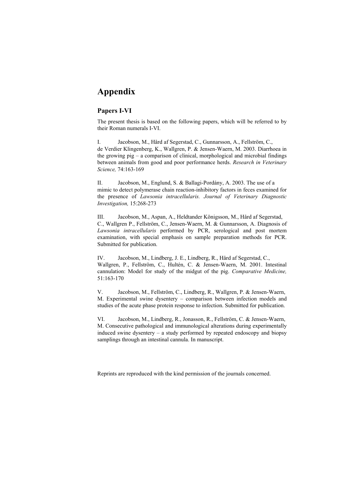# **Appendix**

#### **Papers I-VI**

The present thesis is based on the following papers, which will be referred to by their Roman numerals I-VI.

I. Jacobson, M., Hård af Segerstad, C., Gunnarsson, A., Fellström, C., de Verdier Klingenberg, K., Wallgren, P. & Jensen-Waern, M. 2003. Diarrhoea in the growing pig – a comparison of clinical, morphological and microbial findings between animals from good and poor performance herds. *Research in Veterinary Science,* 74:163-169

II. Jacobson, M., Englund, S. & Ballagi-Pordány, A. 2003. The use of a mimic to detect polymerase chain reaction-inhibitory factors in feces examined for the presence of *Lawsonia intracellularis. Journal of Veterinary Diagnostic Investigation,* 15:268-273

III. Jacobson, M., Aspan, A., Heldtander Königsson, M., Hård af Segerstad, C., Wallgren P., Fellström, C., Jensen-Waern, M. & Gunnarsson, A. Diagnosis of *Lawsonia intracellularis* performed by PCR, serological and post mortem examination, with special emphasis on sample preparation methods for PCR. Submitted for publication.

IV. Jacobson, M., Lindberg, J. E., Lindberg, R., Hård af Segerstad, C., Wallgren, P., Fellström, C., Hultén, C. & Jensen-Waern, M. 2001. Intestinal cannulation: Model for study of the midgut of the pig. *Comparative Medicine,* 51:163-170

V. Jacobson, M., Fellström, C., Lindberg, R., Wallgren, P. & Jensen-Waern, M. Experimental swine dysentery – comparison between infection models and studies of the acute phase protein response to infection. Submitted for publication.

VI. Jacobson, M., Lindberg, R., Jonasson, R., Fellström, C. & Jensen-Waern, M. Consecutive pathological and immunological alterations during experimentally induced swine dysentery – a study performed by repeated endoscopy and biopsy samplings through an intestinal cannula. In manuscript.

Reprints are reproduced with the kind permission of the journals concerned.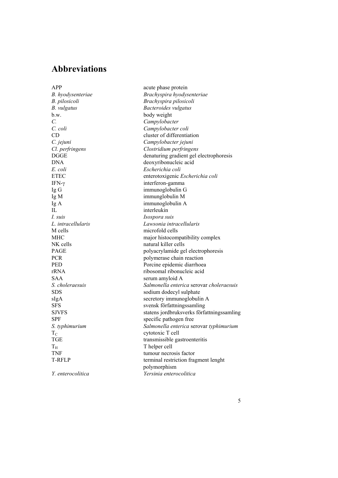# **Abbreviations**

*B. vulgatus Bacteroides vulgatus* b.w. body weight *C. Campylobacter C. coli Campylobacter coli E. coli Escherichia coli* IFN-γ interferon-gamma Ig G immunoglobulin G Ig M immunglobulin M Ig A immunoglobulin A IL interleukin *I. suis Isospora suis* M cells microfold cells NK cells natural killer cells SAA serum amyloid A  $T_{\text{C}}$  cytotoxic T cell<br>TGE transmissible ga  $T_H$  Thelper cell<br>TNF  $t$  tumour necro-

APP acute phase protein *B. hyodysenteriae Brachyspira hyodysenteriae B. pilosicoli Brachyspira pilosicoli* CD cluster of differentiation *C. jejuni Campylobacter jejuni Cl. perfringens Clostridium perfringens* DGGE denaturing gradient gel electrophoresis DNA deoxyribonucleic acid ETEC enterotoxigenic *Escherichia coli L. intracellularis Lawsonia intracellularis* MHC major histocompatibility complex PAGE polyacrylamide gel electrophoresis PCR polymerase chain reaction PED Porcine epidemic diarrhoea rRNA ribosomal ribonucleic acid *S. choleraesuis Salmonella enterica* serovar *choleraesuis* SDS sodium dodecyl sulphate sIgA secretory immunoglobulin A SFS svensk författningssamling SJVFS statens jordbruksverks författningssamling SPF specific pathogen free *S. typhimurium Salmonella enterica* serovar *typhimurium* transmissible gastroenteritis TNF<br>T-RFLP terminal restriction fragments of the terminal restriction fragments. terminal restriction fragment lenght polymorphism *Y. enterocolitica Yersinia enterocolitica*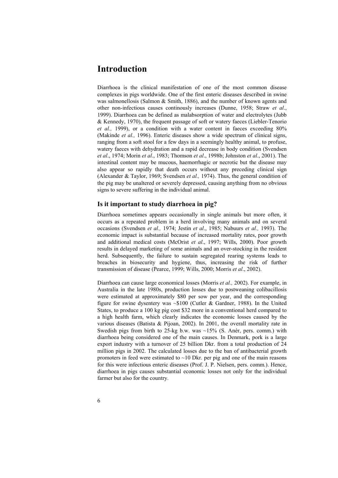# **Introduction**

Diarrhoea is the clinical manifestation of one of the most common disease complexes in pigs worldwide. One of the first enteric diseases described in swine was salmonellosis (Salmon & Smith, 1886), and the number of known agents and other non-infectious causes continously increases (Dunne, 1958; Straw *et al*., 1999). Diarrhoea can be defined as malabsorption of water and electrolytes (Jubb & Kennedy, 1970), the frequent passage of soft or watery faeces (Liebler-Tenorio *et al.,* 1999), or a condition with a water content in faeces exceeding 80% (Makinde *et al.,* 1996). Enteric diseases show a wide spectrum of clinical signs, ranging from a soft stool for a few days in a seemingly healthy animal, to profuse, watery faeces with dehydration and a rapid decrease in body condition (Svendsen *et al*., 1974; Morin *et al*., 1983; Thomson *et al*., 1998b; Johnston *et al*., 2001). The intestinal content may be mucous, haemorrhagic or necrotic but the disease may also appear so rapidly that death occurs without any preceding clinical sign (Alexander & Taylor, 1969; Svendsen *et al.,* 1974). Thus, the general condition of the pig may be unaltered or severely depressed, causing anything from no obvious signs to severe suffering in the individual animal.

#### **Is it important to study diarrhoea in pig?**

Diarrhoea sometimes appears occasionally in single animals but more often, it occurs as a repeated problem in a herd involving many animals and on several occasions (Svendsen *et al.,* 1974; Jestin *et al*., 1985; Nabuurs *et al.,* 1993). The economic impact is substantial because of increased mortality rates, poor growth and additional medical costs (McOrist *et al*., 1997; Wills, 2000). Poor growth results in delayed marketing of some animals and an over-stocking in the resident herd. Subsequently, the failure to sustain segregated rearing systems leads to breaches in biosecurity and hygiene, thus, increasing the risk of further transmission of disease (Pearce, 1999; Wills, 2000; Morris *et al*., 2002).

Diarrhoea can cause large economical losses (Morris *et al.,* 2002). For example, in Australia in the late 1980s, production losses due to postweaning colibacillosis were estimated at approximately \$80 per sow per year, and the corresponding figure for swine dysentery was  $\sim $100$  (Cutler & Gardner, 1988). In the United States, to produce a 100 kg pig cost \$32 more in a conventional herd compared to a high health farm, which clearly indicates the economic losses caused by the various diseases (Batista & Pijoan, 2002). In 2001, the overall mortality rate in Swedish pigs from birth to 25-kg b.w. was  $\sim$ 15% (S. Anér, pers. comm.) with diarrhoea being considered one of the main causes. In Denmark, pork is a large export industry with a turnover of 25 billion Dkr. from a total production of 24 million pigs in 2002. The calculated losses due to the ban of antibacterial growth promoters in feed were estimated to  $\sim$ 10 Dkr. per pig and one of the main reasons for this were infectious enteric diseases (Prof. J. P. Nielsen, pers. comm.). Hence, diarrhoea in pigs causes substantial economic losses not only for the individual farmer but also for the country.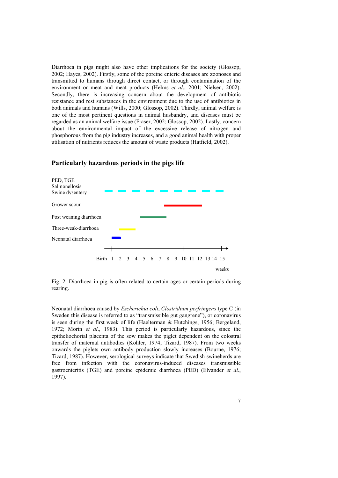Diarrhoea in pigs might also have other implications for the society (Glossop, 2002; Hayes, 2002). Firstly, some of the porcine enteric diseases are zoonoses and transmitted to humans through direct contact, or through contamination of the environment or meat and meat products (Helms *et al*., 2001; Nielsen, 2002). Secondly, there is increasing concern about the development of antibiotic resistance and rest substances in the environment due to the use of antibiotics in both animals and humans (Wills, 2000; Glossop, 2002). Thirdly, animal welfare is one of the most pertinent questions in animal husbandry, and diseases must be regarded as an animal welfare issue (Fraser, 2002; Glossop, 2002). Lastly, concern about the environmental impact of the excessive release of nitrogen and phosphorous from the pig industry increases, and a good animal health with proper utilisation of nutrients reduces the amount of waste products (Hatfield, 2002).



#### **Particularly hazardous periods in the pigs life**

Fig. 2. Diarrhoea in pig is often related to certain ages or certain periods during rearing.

Neonatal diarrhoea caused by *Escherichia coli*, *Clostridium perfringens* type C (in Sweden this disease is referred to as "transmissible gut gangrene"), or coronavirus is seen during the first week of life (Haelterman & Hutchings, 1956; Bergeland, 1972; Morin *et al*., 1983). This period is particularly hazardous, since the epitheliochorial placenta of the sow makes the piglet dependent on the colostral transfer of maternal antibodies (Kohler, 1974; Tizard, 1987). From two weeks onwards the piglets own antibody production slowly increases (Bourne, 1976; Tizard, 1987). However, serological surveys indicate that Swedish swineherds are free from infection with the coronavirus-induced diseases transmissible gastroenteritis (TGE) and porcine epidemic diarrhoea (PED) (Elvander *et al*., 1997).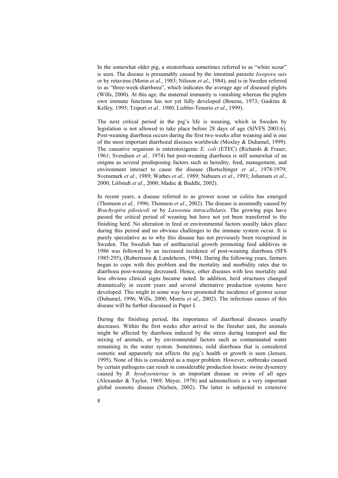In the somewhat older pig, a steatorrhoea sometimes referred to as "white scour" is seen. The disease is presumably caused by the intestinal parasite *Isospora suis* or by rotavirus (Morin *et al*., 1983; Nilsson *et al*., 1984), and is in Sweden referred to as "three-week-diarrhoea", which indicates the average age of diseased piglets (Wills, 2000). At this age, the maternal immunity is vanishing whereas the piglets own immune functions has not yet fully developed (Bourne, 1973; Gaskins & Kelley, 1995; Tzipori *et al.,* 1980; Liebler-Tenorio *et al*., 1999).

The next critical period in the pig's life is weaning, which in Sweden by legislation is not allowed to take place before 28 days of age (SJVFS 2003:6). Post-weaning diarrhoea occurs during the first two weeks after weaning and is one of the most important diarrhoeal diseases worldwide (Moxley & Duhamel, 1999). The causative organism is enterotoxigenic *E. coli* (ETEC) (Richards & Fraser, 1961; Svendsen *et al.,* 1974) but post-weaning diarrhoea is still somewhat of an enigma as several predisposing factors such as heredity, feed, management, and environment interact to cause the disease (Bertschinger *et al*., 1978/1979; Svensmark *et al*., 1989; Wathes *et al.,* 1989; Nabuurs *et al*., 1993; Johansen *et al*., 2000; Löfstedt *et al*., 2000; Madec & Buddle, 2002).

In recent years, a disease referred to as grower scour or colitis has emerged (Thomson *et al.,* 1996; Thomson *et al*., 2002). The disease is assumedly caused by *Brachyspira pilosicoli* or by *Lawsonia intracellularis*. The growing pigs have passed the critical period of weaning but have not yet been transferred to the finishing herd. No alteration in feed or environmental factors usually takes place during this period and no obvious challenges to the immune system occur. It is purely speculative as to why this disease has not previously been recognised in Sweden. The Swedish ban of antibacterial growth promoting feed additives in 1986 was followed by an increased incidence of post-weaning diarrhoea (SFS 1985:295), (Robertsson & Lundeheim, 1994). During the following years, farmers began to cope with this problem and the mortality and morbidity rates due to diarrhoea post-weaning decreased. Hence, other diseases with less mortality and less obvious clinical signs became noted. In addition, herd structures changed dramatically in recent years and several alternative production systems have developed. This might in some way have promoted the incidence of grower scour (Duhamel, 1996; Wills, 2000; Morris *et al*., 2002). The infectious causes of this disease will be further discussed in Paper I.

During the finishing period, the importance of diarrhoeal diseases usually decreases. Within the first weeks after arrival to the finisher unit, the animals might be affected by diarrhoea induced by the stress during transport and the mixing of animals, or by environmental factors such as contaminated water remaining in the water system. Sometimes, mild diarrhoea that is considered osmotic and apparently not affects the pig's health or growth is seen (Jensen, 1995). None of this is considered as a major problem. However, outbreaks caused by certain pathogens can result in considerable production losses: swine dysentery caused by *B. hyodysenteriae* is an important disease in swine of all ages (Alexander & Taylor, 1969; Meyer, 1978) and salmonellosis is a very important global zoonotic disease (Nielsen, 2002). The latter is subjected to extensive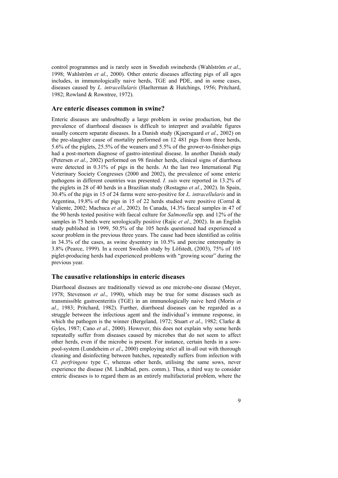control programmes and is rarely seen in Swedish swineherds (Wahlström *et al*., 1998; Wahlström *et al*., 2000). Other enteric diseases affecting pigs of all ages includes, in immunologically naive herds, TGE and PDE, and in some cases, diseases caused by *L. intracellularis* (Haelterman & Hutchings, 1956; Pritchard, 1982; Rowland & Rowntree, 1972).

#### **Are enteric diseases common in swine?**

Enteric diseases are undoubtedly a large problem in swine production, but the prevalence of diarrhoeal diseases is difficult to interpret and available figures usually concern separate diseases. In a Danish study (Kjaersgaard *et al*., 2002) on the pre-slaughter cause of mortality performed on 12 481 pigs from three herds, 5.6% of the piglets, 25.5% of the weaners and 5.5% of the grower-to-finisher-pigs had a post-mortem diagnose of gastro-intestinal disease. In another Danish study (Petersen *et al*., 2002) performed on 98 finisher herds, clinical signs of diarrhoea were detected in 0.31% of pigs in the herds. At the last two International Pig Veterinary Society Congresses (2000 and 2002), the prevalence of some enteric pathogens in different countries was presented. *I. suis* were reported in 13.2% of the piglets in 28 of 40 herds in a Brazilian study (Rostagno *et al*., 2002). In Spain, 30.4% of the pigs in 15 of 24 farms were sero-positive for *L. intracellularis* and in Argentina, 19.8% of the pigs in 15 of 22 herds studied were positive (Corral  $\&$ Valiente, 2002; Machuca *et al*., 2002). In Canada, 14.3% faecal samples in 47 of the 90 herds tested positive with faecal culture for *Salmonella* spp. and 12% of the samples in 75 herds were serologically positive (Rajic *et al*., 2002). In an English study published in 1999, 50.5% of the 105 herds questioned had experienced a scour problem in the previous three years. The cause had been identified as colitis in 34.3% of the cases, as swine dysentery in 10.5% and porcine enteropathy in 3.8% (Pearce, 1999). In a recent Swedish study by Löfstedt, (2003), 75% of 105 piglet-producing herds had experienced problems with "growing scour" during the previous year.

#### **The causative relationships in enteric diseases**

Diarrhoeal diseases are traditionally viewed as one microbe-one disease (Meyer, 1978; Stevenson *et al*., 1990), which may be true for some diseases such as transmissible gastroenteritis (TGE) in an immunologically naive herd (Morin *et al*., 1983; Pritchard, 1982). Further, diarrhoeal diseases can be regarded as a struggle between the infectious agent and the individual's immune response, in which the pathogen is the winner (Bergeland, 1972; Stuart *et al*., 1982; Clarke & Gyles, 1987; Cano *et al*., 2000). However, this does not explain why some herds repeatedly suffer from diseases caused by microbes that do not seem to affect other herds, even if the microbe is present. For instance, certain herds in a sowpool-system (Lundeheim *et al*., 2000) employing strict all in-all out with thorough cleaning and disinfecting between batches, repeatedly suffers from infection with *Cl. perfringens* type C, whereas other herds, utilising the same sows, never experience the disease (M. Lindblad, pers. comm.). Thus, a third way to consider enteric diseases is to regard them as an entirely multifactorial problem, where the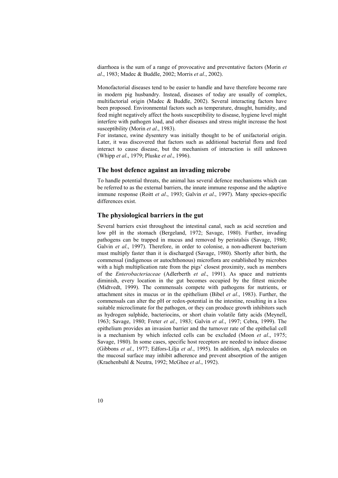diarrhoea is the sum of a range of provocative and preventative factors (Morin *et al*., 1983; Madec & Buddle, 2002; Morris *et al*., 2002).

Monofactorial diseases tend to be easier to handle and have therefore become rare in modern pig husbandry. Instead, diseases of today are usually of complex, multifactorial origin (Madec & Buddle, 2002). Several interacting factors have been proposed. Environmental factors such as temperature, draught, humidity, and feed might negatively affect the hosts susceptibility to disease, hygiene level might interfere with pathogen load, and other diseases and stress might increase the host susceptibility (Morin *et al*., 1983).

For instance, swine dysentery was initially thought to be of unifactorial origin. Later, it was discovered that factors such as additional bacterial flora and feed interact to cause disease, but the mechanism of interaction is still unknown (Whipp *et al*., 1979; Pluske *et al*., 1996).

#### **The host defence against an invading microbe**

To handle potential threats, the animal has several defence mechanisms which can be referred to as the external barriers, the innate immune response and the adaptive immune response (Roitt *et al*., 1993; Galvin *et al*., 1997). Many species-specific differences exist.

#### **The physiological barriers in the gut**

Several barriers exist throughout the intestinal canal, such as acid secretion and low pH in the stomach (Bergeland, 1972; Savage, 1980). Further, invading pathogens can be trapped in mucus and removed by peristalsis (Savage, 1980; Galvin *et al.*, 1997). Therefore, in order to colonise, a non-adherent bacterium must multiply faster than it is discharged (Savage, 1980). Shortly after birth, the commensal (indigenous or autochthonous) microflora are established by microbes with a high multiplication rate from the pigs' closest proximity, such as members of the *Enterobacteriaceae* (Adlerberth *et al*., 1991). As space and nutrients diminish, every location in the gut becomes occupied by the fittest microbe (Midtvedt, 1999). The commensals compete with pathogens for nutrients, or attachment sites in mucus or in the epithelium (Bibel *et al*., 1983). Further, the commensals can alter the pH or redox-potential in the intestine, resulting in a less suitable microclimate for the pathogen, or they can produce growth inhibitors such as hydrogen sulphide, bacteriocins, or short chain volatile fatty acids (Meynell, 1963; Savage, 1980; Freter *et al*., 1983; Galvin *et al*., 1997; Cebra, 1999). The epithelium provides an invasion barrier and the turnover rate of the epithelial cell is a mechanism by which infected cells can be excluded (Moon *et al*., 1975; Savage, 1980). In some cases, specific host receptors are needed to induce disease (Gibbons *et al*., 1977; Edfors-Lilja *et al*., 1995). In addition, sIgA molecules on the mucosal surface may inhibit adherence and prevent absorption of the antigen (Kraehenbuhl & Neutra, 1992; McGhee *et al*., 1992).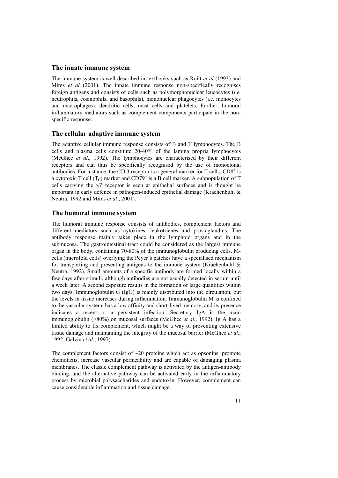#### **The innate immune system**

The immune system is well described in textbooks such as Roitt *et al* (1993) and Mims *et al* (2001). The innate immune response non-specifically recognises foreign antigens and consists of cells such as polymorphonuclear leucocytes (*i.e.* neutrophils, eosinophils, and basophils), mononuclear phagocytes (i.e. monocytes and macrophages), dendritic cells, mast cells and platelets. Further, humoral inflammatory mediators such as complement components participate in the nonspecific response.

#### **The cellular adaptive immune system**

The adaptive cellular immune response consists of B and T lymphocytes. The B cells and plasma cells constitute 20-40% of the lamina propria lymphocytes (McGhee *et al*., 1992). The lymphocytes are characterised by their different receptors and can thus be specifically recognised by the use of monoclonal antibodies. For instance, the CD 3 receptor is a general marker for  $T$  cells,  $CD8^+$  is a cytotoxic T cell (T<sub>C</sub>) marker and  $CD79^+$  is a B cell marker. A subpopulation of T cells carrying the γ/δ receptor is seen at epithelial surfaces and is thought be important in early defence in pathogen-induced epithelial damage (Kraehenbuhl  $\&$ Neutra, 1992 and Mims *et al*., 2001).

#### **The humoral immune system**

The humoral immune response consists of antibodies, complement factors and different mediators such as cytokines, leukotrienes and prostaglandins. The antibody response mainly takes place in the lymphoid organs and in the submucosa. The gastrointestinal tract could be considered as the largest immune organ in the body, containing 70-80% of the immunoglobulin producing cells. Mcells (microfold cells) overlying the Peyer's patches have a specialised mechanism for transporting and presenting antigens to the immune system (Kraehenbuhl  $\&$ Neutra, 1992). Small amounts of a specific antibody are formed locally within a few days after stimuli, although antibodies are not usually detected in serum until a week later. A second exposure results in the formation of large quantities within two days. Immunoglobulin G (IgG) is mainly distributed into the circulation, but the levels in tissue increases during inflammation. Immunoglobulin M is confined to the vascular system, has a low affinity and short-lived memory, and its presence indicates a recent or a persistent infection. Secretory IgA is the main immunoglobulin (>80%) on mucosal surfaces (McGhee *et al*., 1992). Ig A has a limited ability to fix complement, which might be a way of preventing extensive tissue damage and maintaining the integrity of the mucosal barrier (McGhee *et al*., 1992; Galvin *et al*., 1997).

The complement factors consist of  $\sim$ 20 proteins which act as opsonins, promote chemotaxis, increase vascular permeability and are capable of damaging plasma membranes. The classic complement pathway is activated by the antigen-antibody binding, and the alternative pathway can be activated early in the inflammatory process by microbial polysaccharides and endotoxin. However, complement can cause considerable inflammation and tissue damage.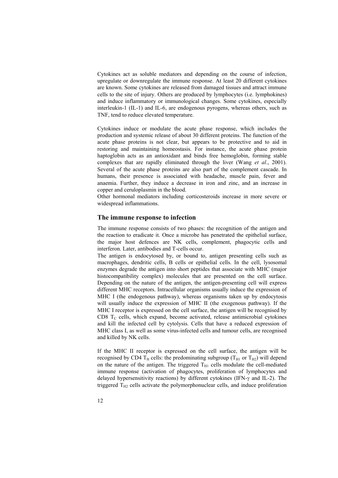Cytokines act as soluble mediators and depending on the course of infection, upregulate or downregulate the immune response. At least 20 different cytokines are known. Some cytokines are released from damaged tissues and attract immune cells to the site of injury. Others are produced by lymphocytes (i.e. lymphokines) and induce inflammatory or immunological changes. Some cytokines, especially interleukin-1 (IL-1) and IL-6, are endogenous pyrogens, whereas others, such as TNF, tend to reduce elevated temperature.

Cytokines induce or modulate the acute phase response, which includes the production and systemic release of about 30 different proteins. The function of the acute phase proteins is not clear, but appears to be protective and to aid in restoring and maintaining homeostasis. For instance, the acute phase protein haptoglobin acts as an antioxidant and binds free hemoglobin, forming stable complexes that are rapidly eliminated through the liver (Wang *et al*., 2001). Several of the acute phase proteins are also part of the complement cascade. In humans, their presence is associated with headache, muscle pain, fever and anaemia. Further, they induce a decrease in iron and zinc, and an increase in copper and ceruloplasmin in the blood.

Other hormonal mediators including corticosteroids increase in more severe or widespread inflammations.

#### **The immune response to infection**

The immune response consists of two phases: the recognition of the antigen and the reaction to eradicate it. Once a microbe has penetrated the epithelial surface, the major host defences are NK cells, complement, phagocytic cells and interferon. Later, antibodies and T-cells occur.

The antigen is endocytosed by, or bound to, antigen presenting cells such as macrophages, dendritic cells, B cells or epithelial cells. In the cell, lysosomal enzymes degrade the antigen into short peptides that associate with MHC (major histocompatibility complex) molecules that are presented on the cell surface. Depending on the nature of the antigen, the antigen-presenting cell will express different MHC receptors. Intracellular organisms usually induce the expression of MHC I (the endogenous pathway), whereas organisms taken up by endocytosis will usually induce the expression of MHC II (the exogenous pathway). If the MHC I receptor is expressed on the cell surface, the antigen will be recognised by CD8  $T_c$  cells, which expand, become activated, release antimicrobial cytokines and kill the infected cell by cytolysis. Cells that have a reduced expression of MHC class I, as well as some virus-infected cells and tumour cells, are recognised and killed by NK cells.

If the MHC II receptor is expressed on the cell surface, the antigen will be recognised by CD4  $T_H$  cells: the predominating subgroup ( $T_{H1}$  or  $T_{H2}$ ) will depend on the nature of the antigen. The triggered  $T_{H1}$  cells modulate the cell-mediated immune response (activation of phagocytes, proliferation of lymphocytes and delayed hypersensitivity reactions) by different cytokines (IFN-γ and IL-2). The triggered  $T_{H2}$  cells activate the polymorphonuclear cells, and induce proliferation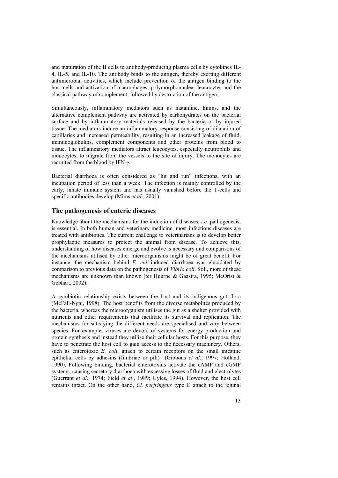and maturation of the B cells to antibody-producing plasma cells by cytokines IL-4, IL-5, and IL-10. The antibody binds to the antigen, thereby exerting different antimicrobial activities, which include prevention of the antigen binding to the host cells and activation of macrophages, polymorphonuclear leucocytes and the classical pathway of complement, followed by destruction of the antigen.

Simultaneously, inflammatory mediators such as histamine, kinins, and the alternative complement pathway are activated by carbohydrates on the bacterial surface and by inflammatory materials released by the bacteria or by injured tissue. The mediators induce an inflammatory response consisting of dilatation of capillaries and increased permeability, resulting in an increased leakage of fluid, immunoglobulins, complement components and other proteins from blood to tissue. The inflammatory mediators attract leucocytes, especially neutrophils and monocytes, to migrate from the vessels to the site of injury. The monocytes are recruited from the blood by IFN-γ.

Bacterial diarrhoea is often considered as "hit and run" infections, with an incubation period of less than a week. The infection is mainly controlled by the early, innate immune system and has usually vanished before the T-cells and specific antibodies develop (Mims *et al*., 2001).

#### **The pathogenesis of enteric diseases**

Knowledge about the mechanisms for the induction of diseases, *i.e.* pathogenesis, is essential. In both human and veterinary medicine, most infectious diseases are treated with antibiotics. The current challenge to veterinarians is to develop better prophylactic measures to protect the animal from disease. To achieve this, understanding of how diseases emerge and evolve is necessary and comparisons of the mechanisms utilised by other microorganisms might be of great benefit. For instance, the mechanism behind *E. coli*-induced diarrhoea was elucidated by comparison to previous data on the pathogenesis of *Vibrio coli*. Still, more of these mechanisms are unknown than known (ter Huurne & Gaastra, 1995; McOrist & Gebhart, 2002).

A symbiotic relationship exists between the host and its indigenous gut flora (McFall-Ngai, 1998). The host benefits from the diverse metabolites produced by the bacteria, whereas the microorganism utilises the gut as a shelter provided with nutrients and other requirements that facilitate its survival and replication. The mechanisms for satisfying the different needs are specialised and vary between species. For example, viruses are devoid of systems for energy production and protein synthesis and instead they utilise their cellular hosts. For this purpose, they have to penetrate the host cell to gain access to the necessary machinery. Others, such as enterotoxic *E. coli*, attach to certain receptors on the small intestine epithelial cells by adhesins (fimbriae or pili) (Gibbons *et al*., 1997; Holland, 1990). Following binding, bacterial enterotoxins activate the cAMP and cGMP systems, causing secretory diarrhoea with excessive losses of fluid and electrolytes (Guerrant *et al*., 1974; Field *et al*., 1989; Gyles, 1994). However, the host cell remains intact. On the other hand, *Cl. perfringens* type C attach to the jejunal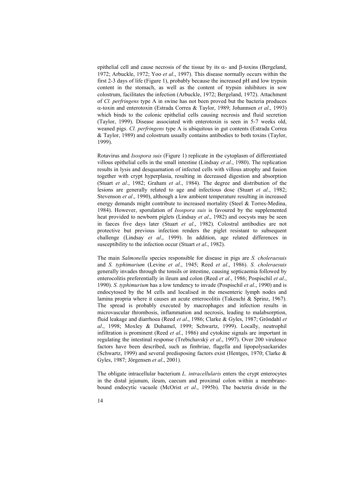epithelial cell and cause necrosis of the tissue by its  $\alpha$ - and β-toxins (Bergeland, 1972; Arbuckle, 1972; Yoo *et al*., 1997). This disease normally occurs within the first 2-3 days of life (Figure 1), probably because the increased pH and low trypsin content in the stomach, as well as the content of trypsin inhibitors in sow colostrum, facilitates the infection (Arbuckle, 1972; Bergeland, 1972). Attachment of *Cl. perfringens* type A in swine has not been proved but the bacteria produces α-toxin and enterotoxin (Estrada Correa & Taylor, 1989; Johannsen *et al*., 1993) which binds to the colonic epithelial cells causing necrosis and fluid secretion (Taylor, 1999). Disease associated with enterotoxin is seen in 5-7 weeks old, weaned pigs. *Cl. perfringens* type A is ubiquitous in gut contents (Estrada Correa & Taylor, 1989) and colostrum usually contains antibodies to both toxins (Taylor, 1999).

Rotavirus and *Isospora suis* (Figure 1) replicate in the cytoplasm of differentiated villous epithelial cells in the small intestine (Lindsay *et al*., 1980). The replication results in lysis and desquamation of infected cells with villous atrophy and fusion together with crypt hyperplasia, resulting in decreased digestion and absorption (Stuart *et al*., 1982; Graham *et al*., 1984). The degree and distribution of the lesions are generally related to age and infectious dose (Stuart *et al*., 1982; Stevenson *et al*., 1990), although a low ambient temperature resulting in increased energy demands might contribute to increased mortality (Steel & Torres-Medina, 1984). However, sporulation of *Isospora suis* is favoured by the supplemented heat provided to newborn piglets (Lindsay *et al*., 1982) and oocysts may be seen in faeces five days later (Stuart *et al*., 1982). Colostral antibodies are not protective but previous infection renders the piglet resistant to subsequent challenge (Lindsay *et al*., 1999). In addition, age related differences in susceptibility to the infection occur (Stuart *et al*., 1982).

The main *Salmonella* species responsible for disease in pigs are *S. choleraesuis* and *S. typhimurium* (Levine *et al*., 1945; Reed *et al*., 1986). *S. choleraesuis* generally invades through the tonsils or intestine, causing septicaemia followed by enterocolitis preferentially in ileum and colon (Reed *et al*., 1986; Pospischil *et al*., 1990). *S. typhimurium* has a low tendency to invade (Pospischil *et al*., 1990) and is endocytosed by the M cells and localised in the mesenteric lymph nodes and lamina propria where it causes an acute enterocolitis (Takeuchi & Sprinz, 1967). The spread is probably executed by macrophages and infection results in microvascular thrombosis, inflammation and necrosis, leading to malabsorption, fluid leakage and diarrhoea (Reed *et al*., 1986; Clarke & Gyles, 1987; Gröndahl *et al*., 1998; Moxley & Duhamel, 1999; Schwartz, 1999). Locally, neutrophil infiltration is prominent (Reed *et al*., 1986) and cytokine signals are important in regulating the intestinal response (Trebichavský *et al*., 1997). Over 200 virulence factors have been described, such as fimbriae, flagella and lipopolysackarides (Schwartz, 1999) and several predisposing factors exist (Hentges, 1970; Clarke & Gyles, 1987; Jörgensen *et al*., 2001).

The obligate intracellular bacterium *L. intracellularis* enters the crypt enterocytes in the distal jejunum, ileum, caecum and proximal colon within a membranebound endocytic vacuole (McOrist *et al*., 1995b). The bacteria divide in the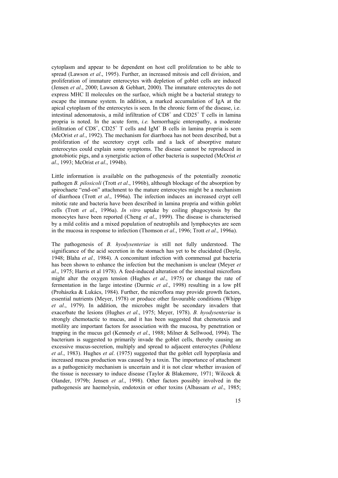cytoplasm and appear to be dependent on host cell proliferation to be able to spread (Lawson *et al*., 1995). Further, an increased mitosis and cell division, and proliferation of immature enterocytes with depletion of goblet cells are induced (Jensen *et al*., 2000; Lawson & Gebhart, 2000). The immature enterocytes do not express MHC II molecules on the surface, which might be a bacterial strategy to escape the immune system. In addition, a marked accumulation of IgA at the apical cytoplasm of the enterocytes is seen. In the chronic form of the disease, i.e. intestinal adenomatosis, a mild infiltration of  $CDS<sup>+</sup>$  and  $CDS<sup>+</sup>$  T cells in lamina propria is noted. In the acute form, *i.e.* hemorrhagic enteropathy, a moderate infiltration of  $CD8^+$ ,  $CD25^+$  T cells and IgM<sup>+</sup> B cells in lamina propria is seen (McOrist *et al*., 1992). The mechanism for diarrhoea has not been described, but a proliferation of the secretory crypt cells and a lack of absorptive mature enterocytes could explain some symptoms. The disease cannot be reproduced in gnotobiotic pigs, and a synergistic action of other bacteria is suspected (McOrist *et al*., 1993; McOrist *et al*., 1994b).

Little information is available on the pathogenesis of the potentially zoonotic pathogen *B. pilosicoli* (Trott *et al*., 1996b), although blockage of the absorption by spirochaete "end-on" attachment to the mature enterocytes might be a mechanism of diarrhoea (Trott *et al*., 1996a). The infection induces an increased crypt cell mitotic rate and bacteria have been described in lamina propria and within goblet cells (Trott *et al*., 1996a). *In vitro* uptake by coiling phagocytosis by the monocytes have been reported (Cheng *et al*., 1999). The disease is characterised by a mild colitis and a mixed population of neutrophils and lymphocytes are seen in the mucosa in response to infection (Thomson *et al*., 1996; Trott *et al*., 1996a).

The pathogenesis of *B. hyodysenteriae* is still not fully understood. The significance of the acid secretion in the stomach has yet to be elucidated (Doyle, 1948; Blaha *et al.,* 1984). A concomitant infection with commensal gut bacteria has been shown to enhance the infection but the mechanism is unclear (Meyer *et al*., 1975; Harris et al 1978). A feed-induced alteration of the intestinal microflora might alter the oxygen tension (Hughes *et al*., 1975) or change the rate of fermentation in the large intestine (Durmic *et al*., 1998) resulting in a low pH (Prohászka & Lukács, 1984). Further, the microflora may provide growth factors, essential nutrients (Meyer, 1978) or produce other favourable conditions (Whipp *et al*., 1979). In addition, the microbes might be secondary invaders that exacerbate the lesions (Hughes *et al*., 1975; Meyer, 1978). *B. hyodysenteriae* is strongly chemotactic to mucus, and it has been suggested that chemotaxis and motility are important factors for association with the mucosa, by penetration or trapping in the mucus gel (Kennedy *et al*., 1988; Milner & Sellwood, 1994). The bacterium is suggested to primarily invade the goblet cells, thereby causing an excessive mucus-secretion, multiply and spread to adjacent enterocytes (Pohlenz *et al*., 1983). Hughes *et al*. (1975) suggested that the goblet cell hyperplasia and increased mucus production was caused by a toxin. The importance of attachment as a pathogenicity mechanism is uncertain and it is not clear whether invasion of the tissue is necessary to induce disease (Taylor & Blakemore, 1971; Wilcock & Olander, 1979b; Jensen *et al*., 1998). Other factors possibly involved in the pathogenesis are haemolysin, endotoxin or other toxins (Albassam *et al*., 1985;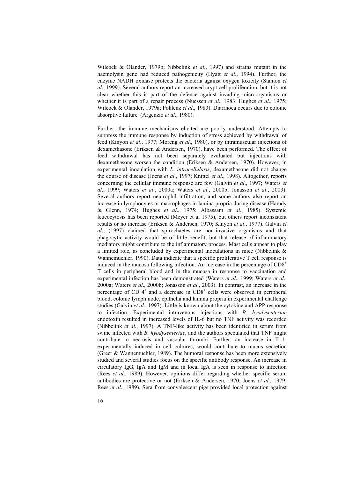Wilcock & Olander, 1979b; Nibbelink *et al*., 1997) and strains mutant in the haemolysin gene had reduced pathogenicity (Hyatt *et al*., 1994). Further, the enzyme NADH oxidase protects the bacteria against oxygen toxicity (Stanton *et al*., 1999). Several authors report an increased crypt cell proliferation, but it is not clear whether this is part of the defence against invading microorganisms or whether it is part of a repair process (Nuessen *et al*., 1983; Hughes *et al*., 1975; Wilcock & Olander, 1979a; Pohlenz *et al*., 1983). Diarrhoea occurs due to colonic absorptive failure (Argenzio *et al*., 1980).

Further, the immune mechanisms elicited are poorly understood. Attempts to suppress the immune response by induction of stress achieved by withdrawal of feed (Kinyon *et al*., 1977; Moreng *et al*., 1980), or by intramuscular injections of dexamethasone (Eriksen & Andersen, 1970), have been performed. The effect of feed withdrawal has not been separately evaluated but injections with dexamethasone worsen the condition (Eriksen & Andersen, 1970). However, in experimental inoculation with *L. intracellularis*, dexamethasone did not change the course of disease (Joens *et al*., 1997; Knittel *et al*., 1998). Altogether, reports concerning the cellular immune response are few (Galvin *et al*., 1997; Waters *et al*., 1999; Waters *et al*., 2000a; Waters *et al*., 2000b; Jonasson *et al*., 2003). Several authors report neutrophil infiltration, and some authors also report an increase in lymphocytes or macrophages in lamina propria during disease (Hamdy & Glenn, 1974; Hughes *et al*., 1975; Albassam *et al*., 1985). Systemic leucocytosis has been reported (Meyer et al 1975), but others report inconsistent results or no increase (Eriksen & Andersen, 1970; Kinyon *et al*., 1977). Galvin *et al*., (1997) claimed that spirochaetes are non-invasive organisms and that phagocytic activity would be of little benefit, but that release of inflammatory mediators might contribute to the inflammatory process. Mast cells appear to play a limited role, as concluded by experimental inoculations in mice (Nibbelink & Wannemuehler, 1990). Data indicate that a specific proliferative T cell response is induced in the mucosa following infection. An increase in the percentage of  $CD8<sup>+</sup>$ T cells in peripheral blood and in the mucosa in response to vaccination and experimental infection has been demonstrated (Waters *et al*., 1999; Waters *et al*., 2000a; Waters *et al*., 2000b; Jonasson *et al*., 2003). In contrast, an increase in the percentage of CD  $4^+$  and a decrease in CD8<sup>+</sup> cells were observed in peripheral blood, colonic lymph node, epithelia and lamina propria in experimental challenge studies (Galvin *et al*., 1997). Little is known about the cytokine and APP response to infection. Experimental intravenous injections with *B. hyodysenteriae* endotoxin resulted in increased levels of IL-6 but no TNF activity was recorded (Nibbelink *et al*., 1997). A TNF-like activity has been identified in serum from swine infected with *B. hyodysenteriae*, and the authors speculated that TNF might contribute to necrosis and vascular thrombi. Further, an increase in IL-1, experimentally induced in cell cultures, would contribute to mucus secretion (Greer & Wannemuehler, 1989). The humoral response has been more extensively studied and several studies focus on the specific antibody response. An increase in circulatory IgG, IgA and IgM and in local IgA is seen in response to infection (Rees *et al*., 1989). However, opinions differ regarding whether specific serum antibodies are protective or not (Eriksen & Andersen, 1970; Joens *et al*., 1979; Rees *et al*., 1989). Sera from convalescent pigs provided local protection against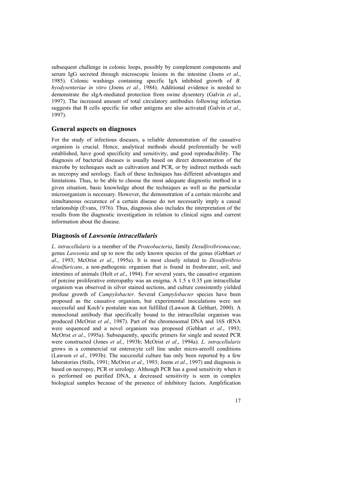subsequent challenge in colonic loops, possibly by complement components and serum IgG secreted through microscopic lesions in the intestine (Joens *et al*., 1985). Colonic washings containing specific IgA inhibited growth of *B. hyodysenteriae in vitro* (Joens *et al*., 1984). Additional evidence is needed to demonstrate the sIgA-mediated protection from swine dysentery (Galvin *et al*., 1997). The increased amount of total circulatory antibodies following infection suggests that B cells specific for other antigens are also activated (Galvin *et al*., 1997).

#### **General aspects on diagnoses**

For the study of infectious diseases, a reliable demonstration of the causative organism is crucial. Hence, analytical methods should preferentially be well established, have good specificity and sensitivity, and good reproducibility. The diagnosis of bacterial diseases is usually based on direct demonstration of the microbe by techniques such as cultivation and PCR, or by indirect methods such as necropsy and serology. Each of these techniques has different advantages and limitations. Thus, to be able to choose the most adequate diagnostic method in a given situation, basic knowledge about the techniques as well as the particular microorganism is necessary. However, the demonstration of a certain microbe and simultaneous occurence of a certain disease do not necessarily imply a causal relationship (Evans, 1976). Thus, diagnosis also includes the interpretation of the results from the diagnostic investigation in relation to clinical signs and current information about the disease.

#### **Diagnosis of** *Lawsonia intracellularis*

*L. intracellularis* is a member of the *Proteobacteria*, family *Desulfovibrionaceae*, genus *Lawsonia* and up to now the only known species of the genus (Gebhart *et al*., 1993; McOrist *et al*., 1995a). It is most closely related to *Desulfovibrio desulfuricans*, a non-pathogenic organism that is found in freshwater, soil, and intestines of animals (Holt *et al*., 1994). For several years, the causative organism of porcine proliferative enteropathy was an enigma. A  $1.5 \times 0.35$  µm intracellular organism was observed in silver stained sections, and culture consistently yielded profuse growth of *Campylobacter*. Several *Campylobacter* species have been proposed as the causative organism, but experimental inoculations were not successful and Koch's postulate was not fulfilled (Lawson & Gebhart, 2000). A monoclonal antibody that specifically bound to the intracellular organism was produced (McOrist *et al*., 1987). Part of the chromosomal DNA and 16S rRNA were sequenced and a novel organism was proposed (Gebhart *et al*., 1993; McOrist *et al*., 1995a). Subsequently, specific primers for single and nested PCR were constructed (Jones *et al*., 1993b; McOrist *et al*., 1994a). *L. intracellularis* grows in a commercial rat enterocyte cell line under micro-areofil conditions (Lawson *et al*., 1993b). The successful culture has only been reported by a few laboratories (Stills, 1991; McOrist *et al*., 1993; Joens *et al*., 1997) and diagnosis is based on necropsy, PCR or serology. Although PCR has a good sensitivity when it is performed on purified DNA, a decreased sensitivity is seen in complex biological samples because of the presence of inhibitory factors. Amplification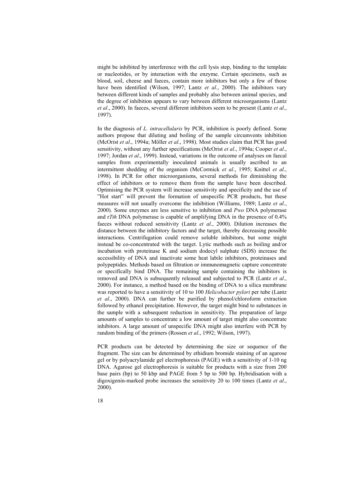might be inhibited by interference with the cell lysis step, binding to the template or nucleotides, or by interaction with the enzyme. Certain specimens, such as blood, soil, cheese and faeces, contain more inhibitors but only a few of those have been identified (Wilson, 1997; Lantz *et al*., 2000). The inhibitors vary between different kinds of samples and probably also between animal species, and the degree of inhibition appears to vary between different microorganisms (Lantz *et al*., 2000). In faeces, several different inhibitors seem to be present (Lantz *et al*., 1997).

In the diagnosis of *L. intracellularis* by PCR, inhibition is poorly defined. Some authors propose that diluting and boiling of the sample circumvents inhibition (McOrist *et al*., 1994a; Möller *et al*., 1998). Most studies claim that PCR has good sensitivity, without any further specifications (McOrist *et al*., 1994a; Cooper *et al*., 1997; Jordan *et al*., 1999). Instead, variations in the outcome of analyses on faecal samples from experimentally inoculated animals is usually ascribed to an intermittent shedding of the organism (McCormick *et al*., 1995; Knittel *et al*., 1998). In PCR for other microorganisms, several methods for diminishing the effect of inhibitors or to remove them from the sample have been described. Optimising the PCR system will increase sensitivity and specificity and the use of "Hot start" will prevent the formation of unspecific PCR products, but these measures will not usually overcome the inhibition (Williams, 1989; Lantz *et al*., 2000). Some enzymes are less sensitive to inhibition and *Pwo* DNA polymerase and r*Tth* DNA polymerase is capable of amplifying DNA in the presence of 0.4% faeces without reduced sensitivity (Lantz *et al*., 2000). Dilution increases the distance between the inhibitory factors and the target, thereby decreasing possible interactions. Centrifugation could remove soluble inhibitors, but some might instead be co-concentrated with the target. Lytic methods such as boiling and/or incubation with proteinase K and sodium dodecyl sulphate (SDS) increase the accessibility of DNA and inactivate some heat labile inhibitors, proteinases and polypeptides. Methods based on filtration or immunomagnetic capture concentrate or specifically bind DNA. The remaining sample containing the inhibitors is removed and DNA is subsequently released and subjected to PCR (Lantz *et al*., 2000). For instance, a method based on the binding of DNA to a silica membrane was reported to have a sensitivity of 10 to 100 *Helicobacter pylori* per tube (Lantz *et al*., 2000). DNA can further be purified by phenol/chloroform extraction followed by ethanol precipitation. However, the target might bind to substances in the sample with a subsequent reduction in sensitivity. The preparation of large amounts of samples to concentrate a low amount of target might also concentrate inhibitors. A large amount of unspecific DNA might also interfere with PCR by random binding of the primers (Rossen *et al*., 1992; Wilson, 1997).

PCR products can be detected by determining the size or sequence of the fragment. The size can be determined by ethidium bromide staining of an agarose gel or by polyacrylamide gel electrophoresis (PAGE) with a sensitivity of 1-10 ng DNA. Agarose gel electrophoresis is suitable for products with a size from 200 base pairs (bp) to 50 kbp and PAGE from 5 bp to 500 bp. Hybridisation with a digoxigenin-marked probe increases the sensitivity 20 to 100 times (Lantz *et al*., 2000).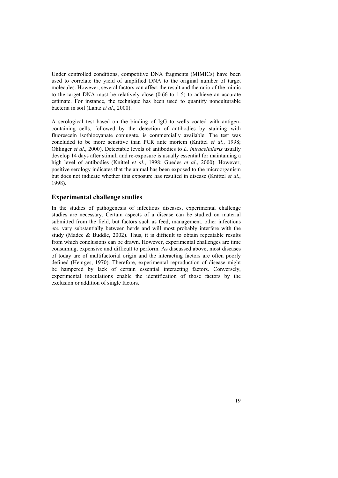Under controlled conditions, competitive DNA fragments (MIMICs) have been used to correlate the yield of amplified DNA to the original number of target molecules. However, several factors can affect the result and the ratio of the mimic to the target DNA must be relatively close (0.66 to 1.5) to achieve an accurate estimate. For instance, the technique has been used to quantify nonculturable bacteria in soil (Lantz *et al*., 2000).

A serological test based on the binding of IgG to wells coated with antigencontaining cells, followed by the detection of antibodies by staining with fluorescein isothiocyanate conjugate, is commercially available. The test was concluded to be more sensitive than PCR ante mortem (Knittel *et al*., 1998; Ohlinger *et al*., 2000). Detectable levels of antibodies to *L. intracellularis* usually develop 14 days after stimuli and re-exposure is usually essential for maintaining a high level of antibodies (Knittel *et al*., 1998; Guedes *et al*., 2000). However, positive serology indicates that the animal has been exposed to the microorganism but does not indicate whether this exposure has resulted in disease (Knittel *et al*., 1998).

#### **Experimental challenge studies**

In the studies of pathogenesis of infectious diseases, experimental challenge studies are necessary. Certain aspects of a disease can be studied on material submitted from the field, but factors such as feed, management, other infections *etc.* vary substantially between herds and will most probably interfere with the study (Madec & Buddle, 2002). Thus, it is difficult to obtain repeatable results from which conclusions can be drawn. However, experimental challenges are time consuming, expensive and difficult to perform. As discussed above, most diseases of today are of multifactorial origin and the interacting factors are often poorly defined (Hentges, 1970). Therefore, experimental reproduction of disease might be hampered by lack of certain essential interacting factors. Conversely, experimental inoculations enable the identification of those factors by the exclusion or addition of single factors.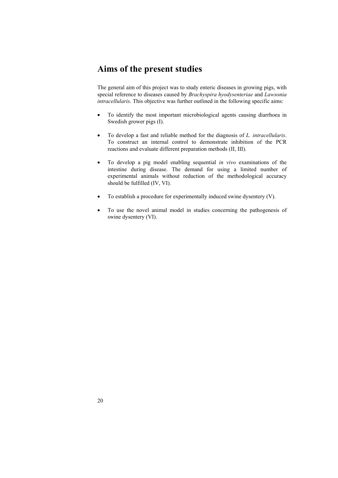# **Aims of the present studies**

The general aim of this project was to study enteric diseases in growing pigs, with special reference to diseases caused by *Brachyspira hyodysenteriae* and *Lawsonia intracellularis*. This objective was further outlined in the following specific aims:

- To identify the most important microbiological agents causing diarrhoea in Swedish grower pigs (I).
- To develop a fast and reliable method for the diagnosis of *L. intracellularis*. To construct an internal control to demonstrate inhibition of the PCR reactions and evaluate different preparation methods (II, III).
- To develop a pig model enabling sequential *in vivo* examinations of the intestine during disease. The demand for using a limited number of experimental animals without reduction of the methodological accuracy should be fulfilled (IV, VI).
- To establish a procedure for experimentally induced swine dysentery (V).
- To use the novel animal model in studies concerning the pathogenesis of swine dysentery (VI).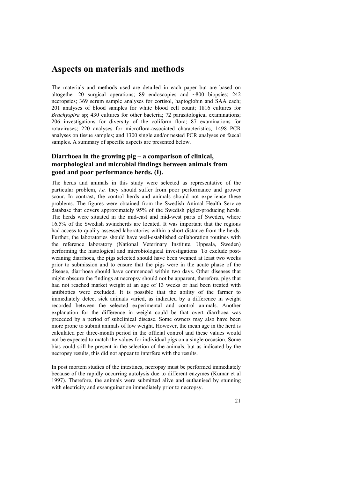## **Aspects on materials and methods**

The materials and methods used are detailed in each paper but are based on altogether 20 surgical operations; 89 endoscopies and ~800 biopsies; 242 necropsies; 369 serum sample analyses for cortisol, haptoglobin and SAA each; 201 analyses of blood samples for white blood cell count; 1816 cultures for *Brachyspira* sp; 430 cultures for other bacteria; 72 parasitological examinations; 206 investigations for diversity of the coliform flora; 87 examinations for rotaviruses; 220 analyses for microflora-associated characteristics, 1498 PCR analyses on tissue samples; and 1300 single and/or nested PCR analyses on faecal samples. A summary of specific aspects are presented below.

### **Diarrhoea in the growing pig – a comparison of clinical, morphological and microbial findings between animals from good and poor performance herds. (I).**

The herds and animals in this study were selected as representative of the particular problem, *i.e.* they should suffer from poor performance and grower scour. In contrast, the control herds and animals should not experience these problems. The figures were obtained from the Swedish Animal Health Service database that covers approximately 95% of the Swedish piglet-producing herds. The herds were situated in the mid-east and mid-west parts of Sweden, where 16.5% of the Swedish swineherds are located. It was important that the regions had access to quality assessed laboratories within a short distance from the herds. Further, the laboratories should have well-established collaboration routines with the reference laboratory (National Veterinary Institute, Uppsala, Sweden) performing the histological and microbiological investigations. To exclude postweaning diarrhoea, the pigs selected should have been weaned at least two weeks prior to submission and to ensure that the pigs were in the acute phase of the disease, diarrhoea should have commenced within two days. Other diseases that might obscure the findings at necropsy should not be apparent, therefore, pigs that had not reached market weight at an age of 13 weeks or had been treated with antibiotics were excluded. It is possible that the ability of the farmer to immediately detect sick animals varied, as indicated by a difference in weight recorded between the selected experimental and control animals. Another explanation for the difference in weight could be that overt diarrhoea was preceded by a period of subclinical disease. Some owners may also have been more prone to submit animals of low weight. However, the mean age in the herd is calculated per three-month period in the official control and these values would not be expected to match the values for individual pigs on a single occasion. Some bias could still be present in the selection of the animals, but as indicated by the necropsy results, this did not appear to interfere with the results.

In post mortem studies of the intestines, necropsy must be performed immediately because of the rapidly occurring autolysis due to different enzymes (Kumar et al 1997). Therefore, the animals were submitted alive and euthanised by stunning with electricity and exsanguination immediately prior to necropsy.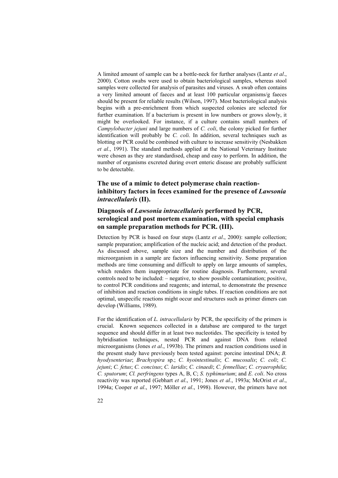A limited amount of sample can be a bottle-neck for further analyses (Lantz *et al*., 2000). Cotton swabs were used to obtain bacteriological samples, whereas stool samples were collected for analysis of parasites and viruses. A swab often contains a very limited amount of faeces and at least 100 particular organisms/g faeces should be present for reliable results (Wilson, 1997). Most bacteriological analysis begins with a pre-enrichment from which suspected colonies are selected for further examination. If a bacterium is present in low numbers or grows slowly, it might be overlooked. For instance, if a culture contains small numbers of *Campylobacter jejuni* and large numbers of *C. coli*, the colony picked for further identification will probably be *C. coli*. In addition, several techniques such as blotting or PCR could be combined with culture to increase sensitivity (Nesbakken *et al*., 1991). The standard methods applied at the National Veterinary Institute were chosen as they are standardised, cheap and easy to perform. In addition, the number of organisms excreted during overt enteric disease are probably sufficient to be detectable.

### **The use of a mimic to detect polymerase chain reactioninhibitory factors in feces examined for the presence of** *Lawsonia intracellularis* **(II).**

### **Diagnosis of** *Lawsonia intracellularis* **performed by PCR, serological and post mortem examination, with special emphasis on sample preparation methods for PCR. (III).**

Detection by PCR is based on four steps (Lantz *et al*., 2000): sample collection; sample preparation; amplification of the nucleic acid; and detection of the product. As discussed above, sample size and the number and distribution of the microorganism in a sample are factors influencing sensitivity. Some preparation methods are time consuming and difficult to apply on large amounts of samples, which renders them inappropriate for routine diagnosis. Furthermore, several controls need to be included: – negative, to show possible contamination; positive, to control PCR conditions and reagents; and internal, to demonstrate the presence of inhibition and reaction conditions in single tubes. If reaction conditions are not optimal, unspecific reactions might occur and structures such as primer dimers can develop (Williams, 1989).

For the identification of *L. intracellularis* by PCR, the specificity of the primers is crucial. Known sequences collected in a database are compared to the target sequence and should differ in at least two nucleotides. The specificity is tested by hybridisation techniques, nested PCR and against DNA from related microorganisms (Jones *et al*., 1993b). The primers and reaction conditions used in the present study have previously been tested against: porcine intestinal DNA; *B. hyodysenteriae*; *Brachyspira* sp.; *C. hyointestinalis*; *C. mucosalis*; *C. coli*; *C. jejuni*; *C. fetus*; *C. concisus*; *C. laridis*; *C. cinaedi*; *C. fennelliae*; *C. cryaerophila*; *C. sputorum*; *Cl. perfringens* types A, B, C; *S. typhimurium*; and *E. coli*. No cross reactivity was reported (Gebhart *et al*., 1991; Jones *et al*., 1993a; McOrist *et al*., 1994a; Cooper *et al*., 1997; Möller *et al*., 1998). However, the primers have not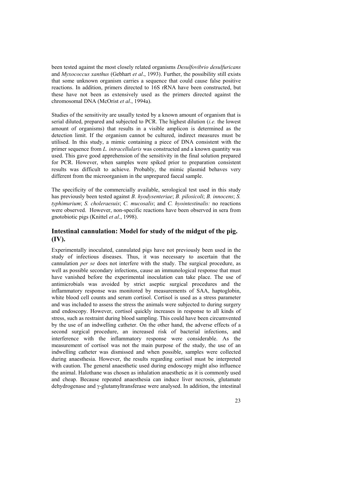been tested against the most closely related organisms *Desulfovibrio desulfuricans* and *Myxococcus xanthus* (Gebhart *et al*., 1993). Further, the possibility still exists that some unknown organism carries a sequence that could cause false positive reactions. In addition, primers directed to 16S rRNA have been constructed, but these have not been as extensively used as the primers directed against the chromosomal DNA (McOrist *et al*., 1994a).

Studies of the sensitivity are usually tested by a known amount of organism that is serial diluted, prepared and subjected to PCR. The highest dilution (*i.e.* the lowest amount of organisms) that results in a visible amplicon is determined as the detection limit. If the organism cannot be cultured, indirect measures must be utilised. In this study, a mimic containing a piece of DNA consistent with the primer sequence from *L. intracellularis* was constructed and a known quantity was used. This gave good apprehension of the sensitivity in the final solution prepared for PCR. However, when samples were spiked prior to preparation consistent results was difficult to achieve. Probably, the mimic plasmid behaves very different from the microorganism in the unprepared faecal sample.

The specificity of the commercially available, serological test used in this study has previously been tested against *B. hyodysenteriae*; *B. pilosicoli*; *B. innocens*; *S. typhimurium*; *S. choleraesuis*; *C. mucosalis*; and *C. hyointestinalis:* no reactions were observed. However, non-specific reactions have been observed in sera from gnotobiotic pigs (Knittel *et al*., 1998).

### **Intestinal cannulation: Model for study of the midgut of the pig. (IV).**

Experimentally inoculated, cannulated pigs have not previously been used in the study of infectious diseases. Thus, it was necessary to ascertain that the cannulation *per se* does not interfere with the study. The surgical procedure, as well as possible secondary infections, cause an immunological response that must have vanished before the experimental inoculation can take place. The use of antimicrobials was avoided by strict aseptic surgical procedures and the inflammatory response was monitored by measurements of SAA, haptoglobin, white blood cell counts and serum cortisol. Cortisol is used as a stress parameter and was included to assess the stress the animals were subjected to during surgery and endoscopy. However, cortisol quickly increases in response to all kinds of stress, such as restraint during blood sampling. This could have been circumvented by the use of an indwelling catheter. On the other hand, the adverse effects of a second surgical procedure, an increased risk of bacterial infections, and interference with the inflammatory response were considerable. As the measurement of cortisol was not the main purpose of the study, the use of an indwelling catheter was dismissed and when possible, samples were collected during anaesthesia. However, the results regarding cortisol must be interpreted with caution. The general anaesthetic used during endoscopy might also influence the animal. Halothane was chosen as inhalation anaesthetic as it is commonly used and cheap. Because repeated anaesthesia can induce liver necrosis, glutamate dehydrogenase and γ-glutamyltransferase were analysed. In addition, the intestinal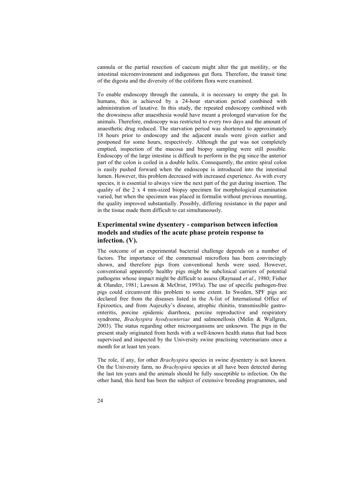cannula or the partial resection of caecum might alter the gut motility, or the intestinal microenvironment and indigenous gut flora. Therefore, the transit time of the digesta and the diversity of the coliform flora were examined.

To enable endoscopy through the cannula, it is necessary to empty the gut. In humans, this is achieved by a 24-hour starvation period combined with administration of laxative. In this study, the repeated endoscopy combined with the drowsiness after anaesthesia would have meant a prolonged starvation for the animals. Therefore, endoscopy was restricted to every two days and the amount of anaesthetic drug reduced. The starvation period was shortened to approximately 18 hours prior to endoscopy and the adjacent meals were given earlier and postponed for some hours, respectively. Although the gut was not completely emptied, inspection of the mucosa and biopsy sampling were still possible. Endoscopy of the large intestine is difficult to perform in the pig since the anterior part of the colon is coiled in a double helix. Consequently, the entire spiral colon is easily pushed forward when the endoscope is introduced into the intestinal lumen. However, this problem decreased with increased experience. As with every species, it is essential to always view the next part of the gut during insertion. The quality of the 2 x 4 mm-sized biopsy specimen for morphological examination varied, but when the specimen was placed in formalin without previous mounting, the quality improved substantially. Possibly, differing resistance in the paper and in the tissue made them difficult to cut simultaneously.

### **Experimental swine dysentery - comparison between infection models and studies of the acute phase protein response to infection. (V).**

The outcome of an experimental bacterial challenge depends on a number of factors. The importance of the commensal microflora has been convincingly shown, and therefore pigs from conventional herds were used. However, conventional apparently healthy pigs might be subclinical carriers of potential pathogens whose impact might be difficult to assess (Raynaud *et al*., 1980; Fisher & Olander, 1981; Lawson & McOrist, 1993a). The use of specific pathogen-free pigs could circumvent this problem to some extent. In Sweden, SPF pigs are declared free from the diseases listed in the A-list of International Office of Epizootics, and from Aujeszky's disease, atrophic rhinitis, transmissible gastroenteritis, porcine epidemic diarrhoea, porcine reproductive and respiratory syndrome, *Brachyspira hyodysenteriae* and salmonellosis (Melin & Wallgren, 2003). The status regarding other microorganisms are unknown. The pigs in the present study originated from herds with a well-known health status that had been supervised and inspected by the University swine practising veterinarians once a month for at least ten years.

The role, if any, for other *Brachyspira* species in swine dysentery is not known. On the University farm, no *Brachyspira* species at all have been detected during the last ten years and the animals should be fully susceptible to infection. On the other hand, this herd has been the subject of extensive breeding programmes, and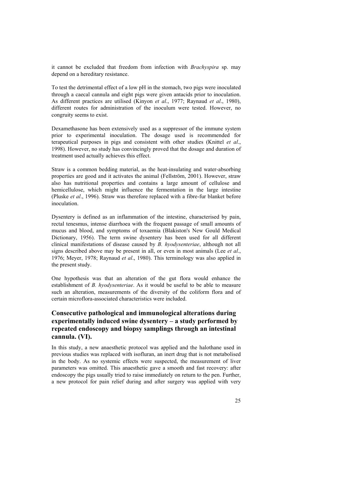it cannot be excluded that freedom from infection with *Brachyspira* sp. may depend on a hereditary resistance.

To test the detrimental effect of a low pH in the stomach, two pigs were inoculated through a caecal cannula and eight pigs were given antacids prior to inoculation. As different practices are utilised (Kinyon *et al*., 1977; Raynaud *et al*., 1980), different routes for administration of the inoculum were tested. However, no congruity seems to exist.

Dexamethasone has been extensively used as a suppressor of the immune system prior to experimental inoculation. The dosage used is recommended for terapeutical purposes in pigs and consistent with other studies (Knittel *et al*., 1998). However, no study has convincingly proved that the dosage and duration of treatment used actually achieves this effect.

Straw is a common bedding material, as the heat-insulating and water-absorbing properties are good and it activates the animal (Fellström, 2001). However, straw also has nutritional properties and contains a large amount of cellulose and hemicellulose, which might influence the fermentation in the large intestine (Pluske *et al*., 1996). Straw was therefore replaced with a fibre-fur blanket before inoculation.

Dysentery is defined as an inflammation of the intestine, characterised by pain, rectal tenesmus, intense diarrhoea with the frequent passage of small amounts of mucus and blood, and symptoms of toxaemia (Blakiston's New Gould Medical Dictionary, 1956). The term swine dysentery has been used for all different clinical manifestations of disease caused by *B. hyodysenteriae*, although not all signs described above may be present in all, or even in most animals (Lee *et al*., 1976; Meyer, 1978; Raynaud *et al*., 1980). This terminology was also applied in the present study.

One hypothesis was that an alteration of the gut flora would enhance the establishment of *B. hyodysenteriae*. As it would be useful to be able to measure such an alteration, measurements of the diversity of the coliform flora and of certain microflora-associated characteristics were included.

### **Consecutive pathological and immunological alterations during experimentally induced swine dysentery – a study performed by repeated endoscopy and biopsy samplings through an intestinal cannula. (VI).**

In this study, a new anaesthetic protocol was applied and the halothane used in previous studies was replaced with isofluran, an inert drug that is not metabolised in the body. As no systemic effects were suspected, the measurement of liver parameters was omitted. This anaesthetic gave a smooth and fast recovery: after endoscopy the pigs usually tried to raise immediately on return to the pen. Further, a new protocol for pain relief during and after surgery was applied with very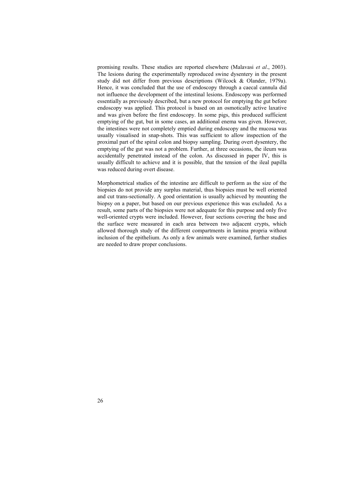promising results. These studies are reported elsewhere (Malavasi *et al*., 2003). The lesions during the experimentally reproduced swine dysentery in the present study did not differ from previous descriptions (Wilcock & Olander, 1979a). Hence, it was concluded that the use of endoscopy through a caecal cannula did not influence the development of the intestinal lesions. Endoscopy was performed essentially as previously described, but a new protocol for emptying the gut before endoscopy was applied. This protocol is based on an osmotically active laxative and was given before the first endoscopy. In some pigs, this produced sufficient emptying of the gut, but in some cases, an additional enema was given. However, the intestines were not completely emptied during endoscopy and the mucosa was usually visualised in snap-shots. This was sufficient to allow inspection of the proximal part of the spiral colon and biopsy sampling. During overt dysentery, the emptying of the gut was not a problem. Further, at three occasions, the ileum was accidentally penetrated instead of the colon. As discussed in paper IV, this is usually difficult to achieve and it is possible, that the tension of the ileal papilla was reduced during overt disease.

Morphometrical studies of the intestine are difficult to perform as the size of the biopsies do not provide any surplus material, thus biopsies must be well oriented and cut trans-sectionally. A good orientation is usually achieved by mounting the biopsy on a paper, but based on our previous experience this was excluded. As a result, some parts of the biopsies were not adequate for this purpose and only five well-oriented crypts were included. However, four sections covering the base and the surface were measured in each area between two adjacent crypts, which allowed thorough study of the different compartments in lamina propria without inclusion of the epithelium. As only a few animals were examined, further studies are needed to draw proper conclusions.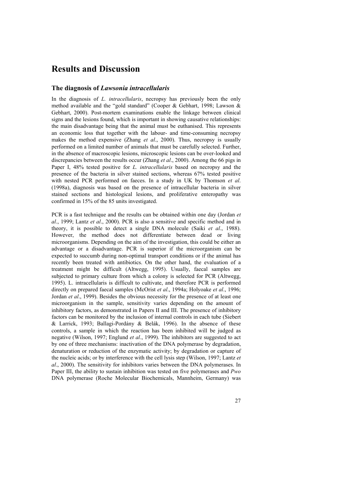# **Results and Discussion**

#### **The diagnosis of** *Lawsonia intracellularis*

In the diagnosis of *L. intracellularis*, necropsy has previously been the only method available and the "gold standard" (Cooper & Gebhart, 1998; Lawson & Gebhart, 2000). Post-mortem examinations enable the linkage between clinical signs and the lesions found, which is important in showing causative relationships: the main disadvantage being that the animal must be euthanised. This represents an economic loss that together with the labour- and time-consuming necropsy makes the method expensive (Zhang *et al*., 2000). Thus, necropsy is usually performed on a limited number of animals that must be carefully selected. Further, in the absence of macroscopic lesions, microscopic lesions can be over-looked and discrepancies between the results occur (Zhang *et al*., 2000). Among the 66 pigs in Paper I, 48% tested positive for *L. intracellularis* based on necropsy and the presence of the bacteria in silver stained sections, whereas 67% tested positive with nested PCR performed on faeces. In a study in UK by Thomson *et al*. (1998a), diagnosis was based on the presence of intracellular bacteria in silver stained sections and histological lesions, and proliferative enteropathy was confirmed in 15% of the 85 units investigated.

PCR is a fast technique and the results can be obtained within one day (Jordan *et al*., 1999; Lantz *et al*., 2000). PCR is also a sensitive and specific method and in theory, it is possible to detect a single DNA molecule (Saiki *et al*., 1988). However, the method does not differentiate between dead or living microorganisms. Depending on the aim of the investigation, this could be either an advantage or a disadvantage. PCR is superior if the microorganism can be expected to succumb during non-optimal transport conditions or if the animal has recently been treated with antibiotics. On the other hand, the evaluation of a treatment might be difficult (Altwegg, 1995). Usually, faecal samples are subjected to primary culture from which a colony is selected for PCR (Altwegg, 1995). L. intracellularis is difficult to cultivate, and therefore PCR is performed directly on prepared faecal samples (McOrist *et al*., 1994a; Holyoake *et al*., 1996; Jordan *et al*., 1999). Besides the obvious necessity for the presence of at least one microorganism in the sample, sensitivity varies depending on the amount of inhibitory factors, as demonstrated in Papers II and III. The presence of inhibitory factors can be monitored by the inclusion of internal controls in each tube (Siebert & Larrick, 1993; Ballagi-Pordány & Belák, 1996). In the absence of these controls, a sample in which the reaction has been inhibited will be judged as negative (Wilson, 1997; Englund *et al*., 1999). The inhibitors are suggested to act by one of three mechanisms: inactivation of the DNA polymerase by degradation, denaturation or reduction of the enzymatic activity; by degradation or capture of the nucleic acids; or by interference with the cell lysis step (Wilson, 1997; Lantz *et al*., 2000). The sensitivity for inhibitors varies between the DNA polymerases. In Paper III, the ability to sustain inhibition was tested on five polymerases and *Pwo* DNA polymerase (Roche Molecular Biochemicals, Mannheim, Germany) was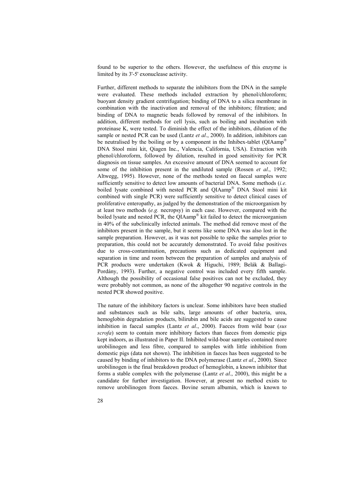found to be superior to the others. However, the usefulness of this enzyme is limited by its 3'-5' exonuclease activity.

Further, different methods to separate the inhibitors from the DNA in the sample were evaluated. These methods included extraction by phenol/chloroform; buoyant density gradient centrifugation; binding of DNA to a silica membrane in combination with the inactivation and removal of the inhibitors; filtration; and binding of DNA to magnetic beads followed by removal of the inhibitors. In addition, different methods for cell lysis, such as boiling and incubation with proteinase K, were tested. To diminish the effect of the inhibitors, dilution of the sample or nested PCR can be used (Lantz *et al*., 2000). In addition, inhibitors can be neutralised by the boiling or by a component in the Inhibex-tablet (QIAamp DNA Stool mini kit, Qiagen Inc., Valencia, California, USA). Extraction with phenol/chloroform, followed by dilution, resulted in good sensitivity for PCR diagnosis on tissue samples. An excessive amount of DNA seemed to account for some of the inhibition present in the undiluted sample (Rossen *et al*., 1992; Altwegg, 1995). However, none of the methods tested on faecal samples were sufficiently sensitive to detect low amounts of bacterial DNA. Some methods (*i.e.* boiled lysate combined with nested PCR and OIAamp<sup>®</sup> DNA Stool mini kit combined with single PCR) were sufficiently sensitive to detect clinical cases of proliferative enteropathy, as judged by the demonstration of the microorganism by at least two methods (*e.g.* necropsy) in each case. However, compared with the boiled lysate and nested PCR, the QIAamp® kit failed to detect the microorganism in 40% of the subclinically infected animals. The method did remove most of the inhibitors present in the sample, but it seems like some DNA was also lost in the sample preparation. However, as it was not possible to spike the samples prior to preparation, this could not be accurately demonstrated. To avoid false positives due to cross-contamination, precautions such as dedicated equipment and separation in time and room between the preparation of samples and analysis of PCR products were undertaken (Kwok & Higuchi, 1989; Belák & Ballagi-Pordány, 1993). Further, a negative control was included every fifth sample. Although the possibility of occasional false positives can not be excluded, they were probably not common, as none of the altogether 90 negative controls in the nested PCR showed positive.

The nature of the inhibitory factors is unclear. Some inhibitors have been studied and substances such as bile salts, large amounts of other bacteria, urea, hemoglobin degradation products, bilirubin and bile acids are suggested to cause inhibition in faecal samples (Lantz *et al*., 2000). Faeces from wild boar (*sus scrofa*) seem to contain more inhibitory factors than faeces from domestic pigs kept indoors, as illustrated in Paper II. Inhibited wild-boar samples contained more urobilinogen and less fibre, compared to samples with little inhibition from domestic pigs (data not shown). The inhibition in faeces has been suggested to be caused by binding of inhibitors to the DNA polymerase (Lantz *et al*., 2000). Since urobilinogen is the final breakdown product of hemoglobin, a known inhibitor that forms a stable complex with the polymerase (Lantz *et al*., 2000), this might be a candidate for further investigation. However, at present no method exists to remove urobilinogen from faeces. Bovine serum albumin, which is known to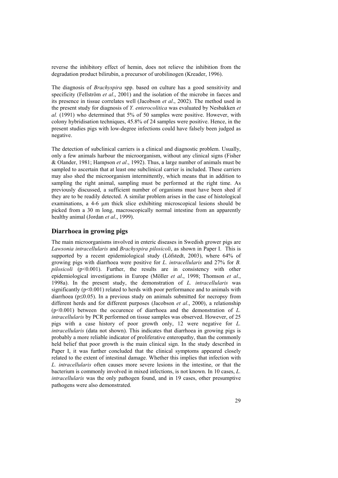reverse the inhibitory effect of hemin, does not relieve the inhibition from the degradation product bilirubin, a precursor of urobilinogen (Kreader, 1996).

The diagnosis of *Brachyspira* spp. based on culture has a good sensitivity and specificity (Fellström *et al*., 2001) and the isolation of the microbe in faeces and its presence in tissue correlates well (Jacobson *et al*., 2002). The method used in the present study for diagnosis of *Y. enterocolitica* was evaluated by Nesbakken *et al.* (1991) who determined that 5% of 50 samples were positive. However, with colony hybridisation techniques, 45.8% of 24 samples were positive. Hence, in the present studies pigs with low-degree infections could have falsely been judged as negative.

The detection of subclinical carriers is a clinical and diagnostic problem. Usually, only a few animals harbour the microorganism, without any clinical signs (Fisher & Olander, 1981; Hampson *et al*., 1992). Thus, a large number of animals must be sampled to ascertain that at least one subclinical carrier is included. These carriers may also shed the microorganism intermittently, which means that in addition to sampling the right animal, sampling must be performed at the right time. As previously discussed, a sufficient number of organisms must have been shed if they are to be readily detected. A similar problem arises in the case of histological examinations, a 4-6 um thick slice exhibiting microscopical lesions should be picked from a 30 m long, macroscopically normal intestine from an apparently healthy animal (Jordan *et al*., 1999).

#### **Diarrhoea in growing pigs**

The main microorganisms involved in enteric diseases in Swedish grower pigs are *Lawsonia intracellularis* and *Brachyspira pilosicoli*, as shown in Paper I. This is supported by a recent epidemiological study (Löfstedt, 2003), where 64% of growing pigs with diarrhoea were positive for *L. intracellularis* and 27% for *B. pilosicoli* (p<0.001). Further, the results are in consistency with other epidemiological investigations in Europe (Möller *et al*., 1998; Thomson *et al*., 1998a). In the present study, the demonstration of *L. intracellularis* was significantly  $(p<0.001)$  related to herds with poor performance and to animals with diarrhoea (p≤0.05). In a previous study on animals submitted for necropsy from different herds and for different purposes (Jacobson *et al*., 2000), a relationship (p<0.001) between the occurence of diarrhoea and the demonstration of *L. intracellularis* by PCR performed on tissue samples was observed. However, of 25 pigs with a case history of poor growth only, 12 were negative for *L. intracellularis* (data not shown). This indicates that diarrhoea in growing pigs is probably a more reliable indicator of proliferative enteropathy, than the commonly held belief that poor growth is the main clinical sign. In the study described in Paper I, it was further concluded that the clinical symptoms appeared closely related to the extent of intestinal damage. Whether this implies that infection with *L. intracellularis* often causes more severe lesions in the intestine, or that the bacterium is commonly involved in mixed infections, is not known. In 10 cases, *L. intracellularis* was the only pathogen found, and in 19 cases, other presumptive pathogens were also demonstrated.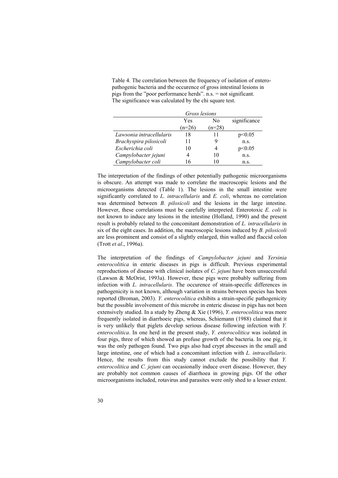Table 4. The correlation between the frequency of isolation of enteropathogenic bacteria and the occurence of gross intestinal lesions in pigs from the "poor performance herds". n.s. = not significant. The significance was calculated by the chi square test.

|                          | Gross lesions |          |              |
|--------------------------|---------------|----------|--------------|
|                          | Yes           | N٥       | significance |
|                          | $(n=26)$      | $(n=28)$ |              |
| Lawsonia intracellularis | 18            | 11       | p<0.05       |
| Brachyspira pilosicoli   | 11            |          | n.S.         |
| Escherichia coli         | 10            |          | p<0.05       |
| Campylobacter jejuni     |               | 10       | n.S.         |
| Campylobacter coli       | 16            |          | n.s.         |

The interpretation of the findings of other potentially pathogenic microorganisms is obscure. An attempt was made to correlate the macroscopic lesions and the microorganisms detected (Table 1). The lesions in the small intestine were significantly correlated to *L. intracellularis* and *E. coli*, whereas no correlation was determined between *B. pilosicoli* and the lesions in the large intestine. However, these correlations must be carefully interpreted. Enterotoxic *E. coli* is not known to induce any lesions in the intestine (Holland, 1990) and the present result is probably related to the concomitant demonstration of *L. intracellularis* in six of the eight cases. In addition, the macroscopic lesions induced by *B. pilosicoli* are less prominent and consist of a slightly enlarged, thin walled and flaccid colon (Trott *et al*., 1996a).

The interpretation of the findings of *Campylobacter jejuni* and *Yersinia enterocolitica* in enteric diseases in pigs is difficult. Previous experimental reproductions of disease with clinical isolates of *C. jejuni* have been unsuccessful (Lawson & McOrist, 1993a). However, these pigs were probably suffering from infection with *L. intracellularis*. The occurence of strain-specific differences in pathogenicity is not known, although variation in strains between species has been reported (Broman, 2003). *Y. enterocolitica* exhibits a strain-specific pathogenicity but the possible involvement of this microbe in enteric disease in pigs has not been extensively studied. In a study by Zheng & Xie (1996), *Y. enterocolitica* was more frequently isolated in diarrhoeic pigs, whereas, Schiemann (1988) claimed that it is very unlikely that piglets develop serious disease following infection with *Y. enterocolitica*. In one herd in the present study, *Y. enterocolitica* was isolated in four pigs, three of which showed an profuse growth of the bacteria. In one pig, it was the only pathogen found. Two pigs also had crypt abscesses in the small and large intestine, one of which had a concomitant infection with *L. intracellularis*. Hence, the results from this study cannot exclude the possibility that *Y. enterocolitica* and *C. jejuni* can occasionally induce overt disease. However, they are probably not common causes of diarrhoea in growing pigs. Of the other microorganisms included, rotavirus and parasites were only shed to a lesser extent.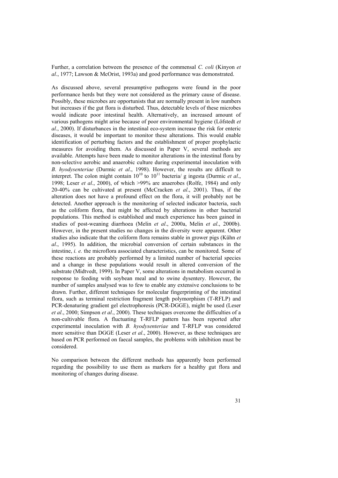Further, a correlation between the presence of the commensal *C. coli* (Kinyon *et al*., 1977; Lawson & McOrist, 1993a) and good performance was demonstrated.

As discussed above, several presumptive pathogens were found in the poor performance herds but they were not considered as the primary cause of disease. Possibly, these microbes are opportunists that are normally present in low numbers but increases if the gut flora is disturbed. Thus, detectable levels of these microbes would indicate poor intestinal health. Alternatively, an increased amount of various pathogens might arise because of poor environmental hygiene (Löfstedt *et al*., 2000). If disturbances in the intestinal eco-system increase the risk for enteric diseases, it would be important to monitor these alterations. This would enable identification of perturbing factors and the establishment of proper prophylactic measures for avoiding them. As discussed in Paper V, several methods are available. Attempts have been made to monitor alterations in the intestinal flora by non-selective aerobic and anaerobic culture during experimental inoculation with *B. hyodysenteriae* (Durmic *et al*., 1998). However, the results are difficult to interpret. The colon might contain  $10^{10}$  to  $10^{11}$  bacteria/ g ingesta (Durmic *et al.*, 1998; Leser *et al*., 2000), of which >99% are anaerobes (Rolfe, 1984) and only 20-40% can be cultivated at present (McCracken *et al*., 2001). Thus, if the alteration does not have a profound effect on the flora, it will probably not be detected. Another approach is the monitoring of selected indicator bacteria, such as the coliform flora, that might be affected by alterations in other bacterial populations. This method is established and much experience has been gained in studies of post-weaning diarrhoea (Melin *et al*., 2000a, Melin *et al*., 2000b). However, in the present studies no changes in the diversity were apparent. Other studies also indicate that the coliform flora remains stable in grower pigs (Kühn *et al*., 1995). In addition, the microbial conversion of certain substances in the intestine, *i. e.* the microflora associated characteristics, can be monitored. Some of these reactions are probably performed by a limited number of bacterial species and a change in these populations would result in altered conversion of the substrate (Midtvedt, 1999). In Paper V, some alterations in metabolism occurred in response to feeding with soybean meal and to swine dysentery. However, the number of samples analysed was to few to enable any extensive conclusions to be drawn. Further, different techniques for molecular fingerprinting of the intestinal flora, such as terminal restriction fragment length polymorphism (T-RFLP) and PCR-denaturing gradient gel electrophoresis (PCR-DGGE), might be used (Leser *et al*., 2000; Simpson *et al*., 2000). These techniques overcome the difficulties of a non-cultivable flora. A fluctuating T-RFLP pattern has been reported after experimental inoculation with *B. hyodysenteriae* and T-RFLP was considered more sensitive than DGGE (Leser *et al*., 2000). However, as these techniques are based on PCR performed on faecal samples, the problems with inhibition must be considered.

No comparison between the different methods has apparently been performed regarding the possibility to use them as markers for a healthy gut flora and monitoring of changes during disease.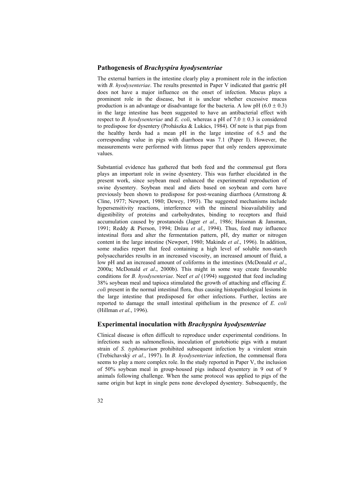#### **Pathogenesis of** *Brachyspira hyodysenteriae*

The external barriers in the intestine clearly play a prominent role in the infection with *B. hyodysenteriae*. The results presented in Paper V indicated that gastric pH does not have a major influence on the onset of infection. Mucus plays a prominent role in the disease, but it is unclear whether excessive mucus production is an advantage or disadvantage for the bacteria. A low pH  $(6.0 \pm 0.3)$ in the large intestine has been suggested to have an antibacterial effect with respect to *B. hyodysenteriae* and *E. coli*, whereas a pH of  $7.0 \pm 0.3$  is considered to predispose for dysentery (Prohászka  $\&$  Lukács, 1984). Of note is that pigs from the healthy herds had a mean pH in the large intestine of 6.5 and the corresponding value in pigs with diarrhoea was 7.1 (Paper I). However, the measurements were performed with litmus paper that only renders approximate values.

Substantial evidence has gathered that both feed and the commensal gut flora plays an important role in swine dysentery. This was further elucidated in the present work, since soybean meal enhanced the experimental reproduction of swine dysentery. Soybean meal and diets based on soybean and corn have previously been shown to predispose for post-weaning diarrhoea (Armstrong & Cline, 1977; Newport, 1980; Dewey, 1993). The suggested mechanisms include hypersensitivity reactions, interference with the mineral bioavailability and digestibility of proteins and carbohydrates, binding to receptors and fluid accumulation caused by prostanoids (Jager *et al*., 1986; Huisman & Jansman, 1991; Reddy & Pierson, 1994; Dréau *et al*., 1994). Thus, feed may influence intestinal flora and alter the fermentation pattern, pH, dry matter or nitrogen content in the large intestine (Newport, 1980; Makinde *et al*., 1996). In addition, some studies report that feed containing a high level of soluble non-starch polysaccharides results in an increased viscosity, an increased amount of fluid, a low pH and an increased amount of coliforms in the intestines (McDonald *et al*., 2000a; McDonald *et al*., 2000b). This might in some way create favourable conditions for *B. hyodysenteriae*. Neef *et al* (1994) suggested that feed including 38% soybean meal and tapioca stimulated the growth of attaching and effacing *E. coli* present in the normal intestinal flora, thus causing histopathological lesions in the large intestine that predisposed for other infections. Further, lectins are reported to damage the small intestinal epithelium in the presence of *E. coli* (Hillman *et al*., 1996).

#### **Experimental inoculation with** *Brachyspira hyodysenteriae*

Clinical disease is often difficult to reproduce under experimental conditions. In infections such as salmonellosis, inoculation of gnotobiotic pigs with a mutant strain of *S. typhimurium* prohibited subsequent infection by a virulent strain (Trebichavský *et al*., 1997). In *B. hyodysenteriae* infection, the commensal flora seems to play a more complex role. In the study reported in Paper V, the inclusion of 50% soybean meal in group-housed pigs induced dysentery in 9 out of 9 animals following challenge. When the same protocol was applied to pigs of the same origin but kept in single pens none developed dysentery. Subsequently, the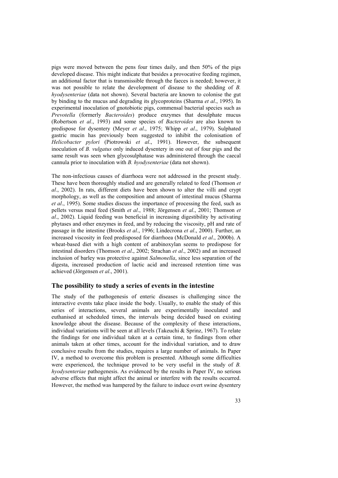pigs were moved between the pens four times daily, and then 50% of the pigs developed disease. This might indicate that besides a provocative feeding regimen, an additional factor that is transmissible through the faeces is needed; however, it was not possible to relate the development of disease to the shedding of *B. hyodysenteriae* (data not shown). Several bacteria are known to colonise the gut by binding to the mucus and degrading its glycoproteins (Sharma *et al*., 1995). In experimental inoculation of gnotobiotic pigs, commensal bacterial species such as *Prevotella* (formerly *Bacteroides*) produce enzymes that desulphate mucus (Robertson *et al*., 1993) and some species of *Bacteroides* are also known to predispose for dysentery (Meyer *et al*., 1975; Whipp *et al*., 1979). Sulphated gastric mucin has previously been suggested to inhibit the colonisation of *Helicobacter pylori* (Piotrowski *et al*., 1991). However, the subsequent inoculation of *B. vulgatus* only induced dysentery in one out of four pigs and the same result was seen when glycosulphatase was administered through the caecal cannula prior to inoculation with *B. hyodysenteriae* (data not shown).

The non-infectious causes of diarrhoea were not addressed in the present study. These have been thoroughly studied and are generally related to feed (Thomson *et al*., 2002). In rats, different diets have been shown to alter the villi and crypt morphology, as well as the composition and amount of intestinal mucus (Sharma *et al*., 1995). Some studies discuss the importance of processing the feed, such as pellets versus meal feed (Smith *et al*., 1988; Jörgensen *et al*., 2001; Thomson *et al*., 2002). Liquid feeding was beneficial in increasing digestibility by activating phytases and other enzymes in feed, and by reducing the viscosity, pH and rate of passage in the intestine (Brooks *et al*., 1996; Lindecrona *et al*., 2000). Further, an increased viscosity in feed predisposed for diarrhoea (McDonald *et al*., 2000b). A wheat-based diet with a high content of arabinoxylan seems to predispose for intestinal disorders (Thomson *et al*., 2002; Strachan *et al*., 2002) and an increased inclusion of barley was protective against *Salmonella*, since less separation of the digesta, increased production of lactic acid and increased retention time was achieved (Jörgensen *et al*., 2001).

#### **The possibility to study a series of events in the intestine**

The study of the pathogenesis of enteric diseases is challenging since the interactive events take place inside the body. Usually, to enable the study of this series of interactions, several animals are experimentally inoculated and euthanised at scheduled times, the intervals being decided based on existing knowledge about the disease. Because of the complexity of these interactions, individual variations will be seen at all levels (Takeuchi & Sprinz, 1967). To relate the findings for one individual taken at a certain time, to findings from other animals taken at other times, account for the individual variation, and to draw conclusive results from the studies, requires a large number of animals. In Paper IV, a method to overcome this problem is presented. Although some difficulties were experienced, the technique proved to be very useful in the study of *B. hyodysenteriae* pathogenesis. As evidenced by the results in Paper IV, no serious adverse effects that might affect the animal or interfere with the results occurred. However, the method was hampered by the failure to induce overt swine dysentery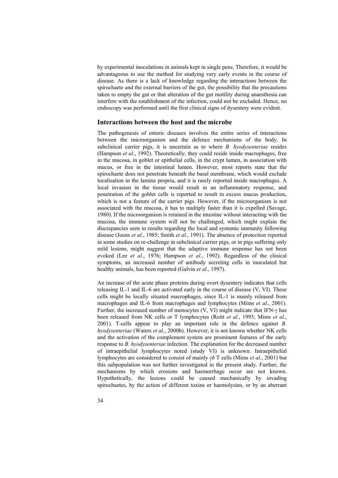by experimental inoculations in animals kept in single pens. Therefore, it would be advantageous to use the method for studying very early events in the course of disease. As there is a lack of knowledge regarding the interactions between the spirochaete and the external barriers of the gut, the possibility that the precautions taken to empty the gut or that alteration of the gut motility during anaesthesia can interfere with the establishment of the infection, could not be excluded. Hence, no endoscopy was performed until the first clinical signs of dysentery were evident.

#### **Interactions between the host and the microbe**

The pathogenesis of enteric diseases involves the entire series of interactions between the microorganism and the defence mechanisms of the body. In subclinical carrier pigs, it is uncertain as to where *B. hyodysenteriae* resides (Hampson *et al*., 1992). Theoretically, they could reside inside macrophages, free in the mucosa, in goblet or epithelial cells, in the crypt lumen, in association with mucus, or free in the intestinal lumen. However, most reports state that the spirochaete does not penetrate beneath the basal membrane, which would exclude localisation in the lamina propria, and it is rarely reported inside macrophages. A local invasion in the tissue would result in an inflammatory response, and penetration of the goblet cells is reported to result in excess mucus production, which is not a feature of the carrier pigs. However, if the microorganism is not associated with the mucosa, it has to multiply faster than it is expelled (Savage, 1980). If the microorganism is retained in the intestine without interacting with the mucosa, the immune system will not be challenged, which might explain the discrepancies seen in results regarding the local and systemic immunity following disease (Joens *et al*., 1985; Smith *et al*., 1991). The absence of protection reported in some studies on re-challenge in subclinical carrier pigs, or in pigs suffering only mild lesions, might suggest that the adaptive immune response has not been evoked (Lee *et al*., 1976; Hampson *et al*., 1992). Regardless of the clinical symptoms, an increased number of antibody secreting cells in inoculated but healthy animals, has been reported (Galvin *et al*., 1997).

An increase of the acute phase proteins during overt dysentery indicates that cells releasing IL-1 and IL-6 are activated early in the course of disease (V, VI). These cells might be locally situated macrophages, since IL-1 is mainly released from macrophages and IL-6 from macrophages and lymphocytes (Mims *et al*., 2001). Further, the increased number of monocytes (V, VI) might indicate that IFN-γ has been released from NK cells or T lymphocytes (Roitt *et al*., 1993; Mims *et al*., 2001). T-cells appear to play an important role in the defence against *B. hyodysenteriae* (Waters *et al*., 2000b). However, it is not known whether NK cells and the activation of the complement system are prominent features of the early response to *B. hyodysenteriae* infection. The explanation for the decreased number of intraepithelial lymphocytes noted (study VI) is unknown. Intraepithelial lymphocytes are considered to consist of mainly γδ T cells (Mims *et al*., 2001) but this subpopulation was not further investigated in the present study. Further, the mechanisms by which erosions and haemorrhage occur are not known. Hypothetically, the lesions could be caused mechanically by invading spirochaetes, by the action of different toxins or haemolysins, or by an aberrant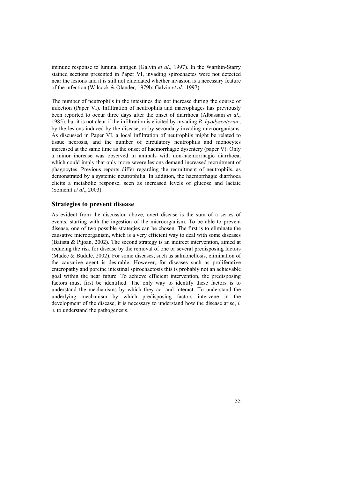immune response to luminal antigen (Galvin *et al*., 1997). In the Warthin-Starry stained sections presented in Paper VI, invading spirochaetes were not detected near the lesions and it is still not elucidated whether invasion is a necessary feature of the infection (Wilcock & Olander, 1979b; Galvin *et al*., 1997).

The number of neutrophils in the intestines did not increase during the course of infection (Paper VI). Infiltration of neutrophils and macrophages has previously been reported to occur three days after the onset of diarrhoea (Albassam *et al*., 1985), but it is not clear if the infiltration is elicited by invading *B. hyodysenteriae*, by the lesions induced by the disease, or by secondary invading microorganisms. As discussed in Paper VI, a local infiltration of neutrophils might be related to tissue necrosis, and the number of circulatory neutrophils and monocytes increased at the same time as the onset of haemorrhagic dysentery (paper V). Only a minor increase was observed in animals with non-haemorrhagic diarrhoea, which could imply that only more severe lesions demand increased recruitment of phagocytes. Previous reports differ regarding the recruitment of neutrophils, as demonstrated by a systemic neutrophilia. In addition, the haemorrhagic diarrhoea elicits a metabolic response, seen as increased levels of glucose and lactate (Somchit *et al*., 2003).

#### **Strategies to prevent disease**

As evident from the discussion above, overt disease is the sum of a series of events, starting with the ingestion of the microorganism. To be able to prevent disease, one of two possible strategies can be chosen. The first is to eliminate the causative microorganism, which is a very efficient way to deal with some diseases (Batista & Pijoan, 2002). The second strategy is an indirect intervention, aimed at reducing the risk for disease by the removal of one or several predisposing factors (Madec & Buddle, 2002). For some diseases, such as salmonellosis, elimination of the causative agent is desirable. However, for diseases such as proliferative enteropathy and porcine intestinal spirochaetosis this is probably not an achievable goal within the near future. To achieve efficient intervention, the predisposing factors must first be identified. The only way to identify these factors is to understand the mechanisms by which they act and interact. To understand the underlying mechanism by which predisposing factors intervene in the development of the disease, it is necessary to understand how the disease arise, *i. e.* to understand the pathogenesis.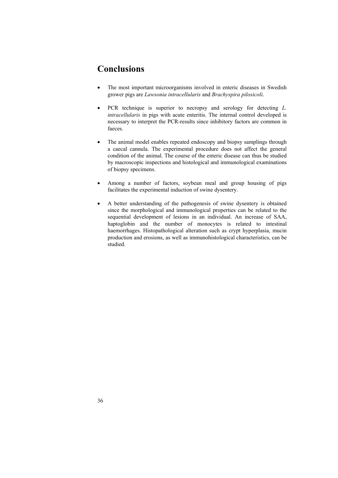# **Conclusions**

- The most important microorganisms involved in enteric diseases in Swedish grower pigs are *Lawsonia intracellularis* and *Brachyspira pilosicoli*.
- PCR technique is superior to necropsy and serology for detecting *L. intracellularis* in pigs with acute enteritis. The internal control developed is necessary to interpret the PCR-results since inhibitory factors are common in faeces.
- The animal model enables repeated endoscopy and biopsy samplings through a caecal cannula. The experimental procedure does not affect the general condition of the animal. The course of the enteric disease can thus be studied by macroscopic inspections and histological and immunological examinations of biopsy specimens.
- Among a number of factors, soybean meal and group housing of pigs facilitates the experimental induction of swine dysentery.
- A better understanding of the pathogenesis of swine dysentery is obtained since the morphological and immunological properties can be related to the sequential development of lesions in an individual. An increase of SAA, haptoglobin and the number of monocytes is related to intestinal haemorrhages. Histopathological alteration such as crypt hyperplasia, mucin production and erosions, as well as immunohistological characteristics, can be studied.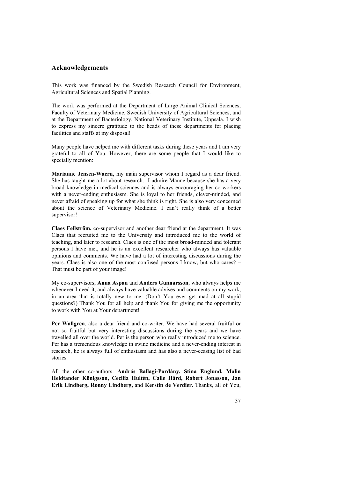#### **Acknowledgements**

This work was financed by the Swedish Research Council for Environment, Agricultural Sciences and Spatial Planning.

The work was performed at the Department of Large Animal Clinical Sciences, Faculty of Veterinary Medicine, Swedish University of Agricultural Sciences, and at the Department of Bacteriology, National Veterinary Institute, Uppsala. I wish to express my sincere gratitude to the heads of these departments for placing facilities and staffs at my disposal!

Many people have helped me with different tasks during these years and I am very grateful to all of You. However, there are some people that I would like to specially mention:

**Marianne Jensen-Waern**, my main supervisor whom I regard as a dear friend. She has taught me a lot about research. I admire Manne because she has a very broad knowledge in medical sciences and is always encouraging her co-workers with a never-ending enthusiasm. She is loyal to her friends, clever-minded, and never afraid of speaking up for what she think is right. She is also very concerned about the science of Veterinary Medicine. I can't really think of a better supervisor!

**Claes Fellström,** co-supervisor and another dear friend at the department. It was Claes that recruited me to the University and introduced me to the world of teaching, and later to research. Claes is one of the most broad-minded and tolerant persons I have met, and he is an excellent researcher who always has valuable opinions and comments. We have had a lot of interesting discussions during the years. Claes is also one of the most confused persons I know, but who cares? – That must be part of your image!

My co-supervisors, **Anna Aspan** and **Anders Gunnarsson**, who always helps me whenever I need it, and always have valuable advises and comments on my work, in an area that is totally new to me. (Don't You ever get mad at all stupid questions?) Thank You for all help and thank You for giving me the opportunity to work with You at Your department!

**Per Wallgren**, also a dear friend and co-writer. We have had several fruitful or not so fruitful but very interesting discussions during the years and we have travelled all over the world. Per is the person who really introduced me to science. Per has a tremendous knowledge in swine medicine and a never-ending interest in research, he is always full of enthusiasm and has also a never-ceasing list of bad stories.

All the other co-authors: **András Ballagi-Pordány, Stina Englund, Malin Heldtander Königsson, Cecilia Hultén, Calle Hård, Robert Jonasson, Jan Erik Lindberg, Ronny Lindberg,** and **Kerstin de Verdier.** Thanks, all of You,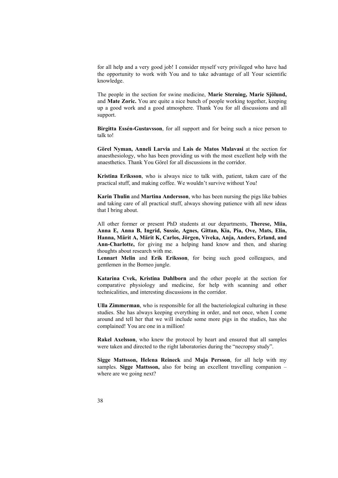for all help and a very good job! I consider myself very privileged who have had the opportunity to work with You and to take advantage of all Your scientific knowledge.

The people in the section for swine medicine, **Marie Sterning, Marie Sjölund,** and **Mate Zoric.** You are quite a nice bunch of people working together, keeping up a good work and a good atmosphere. Thank You for all discussions and all support.

**Birgitta Essén-Gustavsson**, for all support and for being such a nice person to talk to!

**Görel Nyman, Anneli Larvia** and **Lais de Matos Malavasi** at the section for anaesthesiology, who has been providing us with the most excellent help with the anaesthetics. Thank You Görel for all discussions in the corridor.

**Kristina Eriksson**, who is always nice to talk with, patient, taken care of the practical stuff, and making coffee. We wouldn't survive without You!

**Karin Thulin** and **Martina Andersson**, who has been nursing the pigs like babies and taking care of all practical stuff, always showing patience with all new ideas that I bring about.

All other former or present PhD students at our departments, **Therese, Miia, Anna E, Anna B, Ingrid, Sussie, Agnes, Gittan, Kia, Pia, Ove, Mats, Elin, Hanna, Märit A, Märit K, Carlos, Jörgen, Viveka, Anja, Anders, Erland, and Ann-Charlotte,** for giving me a helping hand know and then, and sharing thoughts about research with me.

**Lennart Melin** and **Erik Eriksson**, for being such good colleagues, and gentlemen in the Borneo jungle.

**Katarina Cvek, Kristina Dahlborn** and the other people at the section for comparative physiology and medicine, for help with scanning and other technicalities, and interesting discussions in the corridor.

**Ulla Zimmerman**, who is responsible for all the bacteriological culturing in these studies. She has always keeping everything in order, and not once, when I come around and tell her that we will include some more pigs in the studies, has she complained! You are one in a million!

**Rakel Axelsson**, who knew the protocol by heart and ensured that all samples were taken and directed to the right laboratories during the "necropsy study".

**Sigge Mattsson, Helena Reineck** and **Maja Persson**, for all help with my samples. **Sigge Mattsson,** also for being an excellent travelling companion – where are we going next?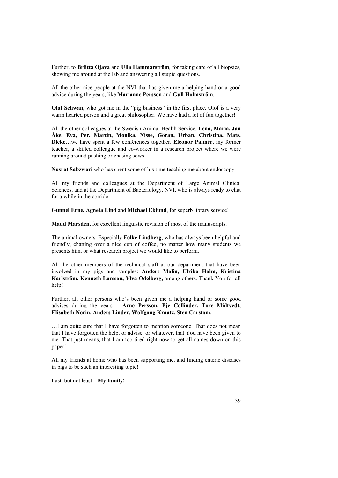Further, to **Briitta Ojava** and **Ulla Hammarström**, for taking care of all biopsies, showing me around at the lab and answering all stupid questions.

All the other nice people at the NVI that has given me a helping hand or a good advice during the years, like **Marianne Persson** and **Gull Holmström**.

**Olof Schwan,** who got me in the "pig business" in the first place. Olof is a very warm hearted person and a great philosopher. We have had a lot of fun together!

All the other colleagues at the Swedish Animal Health Service, **Lena, Maria, Jan Åke, Eva, Per, Martin, Monika, Nisse, Göran, Urban, Christina, Mats, Dicke…**we have spent a few conferences together. **Eleonor Palmér**, my former teacher, a skilled colleague and co-worker in a research project where we were running around pushing or chasing sows…

**Nusrat Sabzwari** who has spent some of his time teaching me about endoscopy

All my friends and colleagues at the Department of Large Animal Clinical Sciences, and at the Department of Bacteriology, NVI, who is always ready to chat for a while in the corridor.

**Gunnel Erne, Agneta Lind** and **Michael Eklund**, for superb library service!

**Maud Marsden,** for excellent linguistic revision of most of the manuscripts.

The animal owners. Especially **Folke Lindberg**, who has always been helpful and friendly, chatting over a nice cup of coffee, no matter how many students we presents him, or what research project we would like to perform.

All the other members of the technical staff at our department that have been involved in my pigs and samples: **Anders Molin, Ulrika Holm, Kristina Karlström, Kenneth Larsson, Ylva Odelberg,** among others. Thank You for all help!

Further, all other persons who's been given me a helping hand or some good advises during the years – **Arne Persson, Eje Collinder, Tore Midtvedt, Elisabeth Norin, Anders Linder, Wolfgang Kraatz, Sten Carstam.**

…I am quite sure that I have forgotten to mention someone. That does not mean that I have forgotten the help, or advise, or whatever, that You have been given to me. That just means, that I am too tired right now to get all names down on this paper!

All my friends at home who has been supporting me, and finding enteric diseases in pigs to be such an interesting topic!

Last, but not least – **My family!**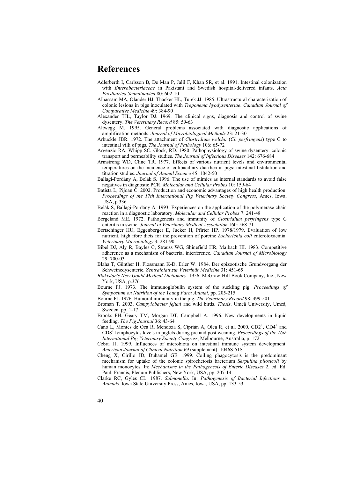### **References**

- Adlerberth I, Carlsson B, De Man P, Jalil F, Khan SR, et al. 1991. Intestinal colonization with *Enterobacteriaceae* in Pakistani and Swedish hospital-delivered infants. *Acta Paediatrica Scandinavica* 80: 602-10
- Albassam MA, Olander HJ, Thacker HL, Turek JJ. 1985. Ultrastructural characterization of colonic lesions in pigs inoculated with *Treponema hyodysenteriae*. *Canadian Journal of Comparative Medicine* 49: 384-90
- Alexander TJL, Taylor DJ. 1969. The clinical signs, diagnosis and control of swine dysentery. *The Veterinary Record* 85: 59-63
- Altwegg M. 1995. General problems associated with diagnostic applications of amplification methods. *Journal of Microbiological Methods* 23: 21-30
- Arbuckle JBR. 1972. The attachment of *Clostridium welchii* (*Cl. perfringens*) type C to intestinal villi of pigs. *The Journal of Pathology* 106: 65-72
- Argenzio RA, Whipp SC, Glock, RD. 1980. Pathophysiology of swine dysentery: colonic transport and permeability studies. *The Journal of Infectious Diseases* 142: 676-684
- Armstrong WD, Cline TR. 1977. Effects of various nutrient levels and environmental temperatures on the incidence of colibacillary diarrhea in pigs: intestinal fistulation and titration studies. *Journal of Animal Science* 45: 1042-50
- Ballagi-Pordány A, Belák S. 1996. The use of mimics as internal standards to avoid false negatives in diagnostic PCR. *Molecular and Cellular Probes* 10: 159-64
- Batista L, Pijoan C. 2002. Production and economic advantages of high health production. *Proceedings of the 17th International Pig Veterinary Society Congress*, Ames, Iowa, USA, p.336
- Belák S, Ballagi-Pordány A. 1993. Experiences on the application of the polymerase chain reaction in a diagnostic laboratory. *Molecular and Cellular Probes* 7: 241-48
- Bergeland ME. 1972. Pathogenesis and immunity of *Clostridium perfringens* type C enteritis in swine. *Journal of Veterinary Medical Association* 160: 568-71
- Bertschinger HU, Eggenberger E, Jucker H, Pfirter HP. 1978/1979. Evaluation of low nutrient, high fibre diets for the prevention of porcine *Escherichia coli* enterotoxaemia. *Veterinary Microbiology* 3: 281-90
- Bibel DJ, Aly R, Bayles C, Strauss WG, Shinefield HR, Maibach HI. 1983. Competitive adherence as a mechanism of bacterial interference. *Canadian Journal of Microbiology* 29: 700-03
- Blaha T, Günther H, Flossmann K-D, Erler W. 1984. Der epizootische Grundvorgang der Schweinedysenterie. *Zentralblatt zur Veterinär Medicine* 31: 451-65
- *Blakiston's New Gould Medical Dictionary*. 1956. McGraw-Hill Book Company, Inc., New York, USA, p.376
- Bourne FJ. 1973. The immunoglobulin system of the suckling pig. *Proceedings of Symposium on Nutrition of the Young Farm Animal*, pp. 205-215
- Bourne FJ. 1976. Humoral immunity in the pig. *The Veterinary Record* 98: 499-501
- Broman T. 2003. *Campylobacter jejuni* and wild birds. *Thesis*. Umeå University, Umeå, Sweden. pp. 1-17
- Brooks PH, Geary TM, Morgan DT, Campbell A. 1996. New developments in liquid feeding. *The Pig Journal* 36: 43-64
- Cano L, Montes de Oca R, Mendoza S, Ciprián A, Olea R, et al. 2000. CD2<sup>+</sup>, CD4<sup>+</sup> and CD8<sup>+</sup> lymphocytes levels in piglets during pre and post weaning. *Proceedings of the 16th International Pig Veterinary Society Congress*, Melbourne, Australia, p. 172
- Cebra JJ. 1999. Influences of microbiota on intestinal immune system development. *American Journal of Clinical Nutrition* 69 (supplement): 1046S-51S
- Cheng X, Cirillo JD, Duhamel GE. 1999. Coiling phagocytosis is the predominant mechanism for uptake of the colonic spirochetosis bacterium *Serpulina pilosicoli* by human monocytes. In: *Mechanisms in the Pathogenesis of Enteric Diseases* 2. ed. Ed. Paul, Francis, Plenum Publishers, New York, USA, pp. 207-14.
- Clarke RC, Gyles CL. 1987. *Salmonella*. In: *Pathogenesis of Bacterial Infections in Animals*. Iowa State University Press, Ames, Iowa, USA, pp. 133-53.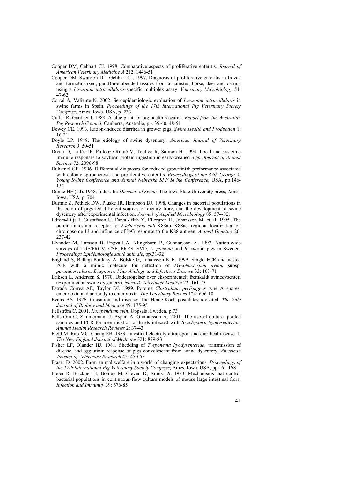- Cooper DM, Gebhart CJ. 1998. Comparative aspects of proliferative enteritis. *Journal of American Veterinary Medicine A* 212: 1446-51
- Cooper DM, Swanson DL, Gebhart CJ. 1997. Diagnosis of proliferative enteritis in frozen and formalin-fixed, paraffin-embedded tissues from a hamster, horse, deer and ostrich using a *Lawsonia intracellularis*-specific multiplex assay. *Veterinary Microbiology* 54: 47-62
- Corral A, Valiente N. 2002. Seroepidemiologic evaluation of *Lawsonia intracellularis* in swine farms in Spain. *Proceedings of the 17th International Pig Veterinary Society Congress*, Ames, Iowa, USA, p. 233
- Cutler R, Gardner I. 1988. A blue print for pig health research. *Report from the Australian Pig Research Council*, Canberra, Australia, pp. 39-40, 48-51
- Dewey CE. 1993. Ration-induced diarrhea in grower pigs. *Swine Health and Production* 1: 16-21
- Doyle LP. 1948. The etiology of swine dysentery. *American Journal of Veterinary Research* 9: 50-51
- Dréau D, Lallés JP, Philouze-Romé V, Toullec R, Salmon H. 1994. Local and systemic immune responses to soybean protein ingestion in early-weaned pigs. *Journal of Animal Science* 72: 2090-98
- Duhamel GE. 1996. Differential diagnoses for reduced grow/finish performance associated with colonic spirochetosis and proliferative enteritis. *Proceedings of the 37th George A. Young Swine Conference and Annual Nebraska SPF Swine Conference*, USA, pp.146- 152
- Dunne HE (ed). 1958. Index. In: *Diseases of Swine.* The Iowa State University press, Ames, Iowa, USA, p. 704
- Durmic Z, Pethick DW, Pluske JR, Hampson DJ. 1998. Changes in bacterial populations in the colon of pigs fed different sources of dietary fibre, and the development of swine dysentery after experimental infection. *Journal of Applied Microbiology* 85: 574-82.
- Edfors-Lilja I, Gustafsson U, Duval-Iflah Y, Ellergren H, Johansson M, et al. 1995. The porcine intestinal receptor for *Escherichia coli* K88ab, K88ac: regional localization on chromosome 13 and influence of IgG response to the K88 antigen. *Animal Genetics* 26: 237-42
- Elvander M, Larsson B, Engvall A, Klingeborn B, Gunnarsson A. 1997. Nation-wide surveys of TGE/PRCV, CSF, PRRS, SVD, *L. pomona* and *B. suis* in pigs in Sweden. *Proceedings Epidémiologie santé animale*, pp.31-32
- Englund S, Ballagi-Pordány A, Bölske G, Johansson K-E. 1999. Single PCR and nested PCR with a mimic molecule for detection of *Mycobacterium avium* subsp. *paratuberculosis*. *Diagnostic Microbiology and Infectious Disease* 33: 163-71
- Eriksen L, Andersen S. 1970. Undersögelser over eksperimentelt fremkaldt svinedysenteri (Experimental swine dysentery). *Nordisk Veterinaer Medicin* 22: 161-73
- Estrada Correa AE, Taylor DJ. 1989. Porcine *Clostridium perfringens* type A spores, enterotoxin and antibody to enterotoxin. *The Veterinary Record* 124: 606-10
- Evans AS. 1976. Causation and disease: The Henle-Koch postulates revisited. *The Yale Journal of Biology and Medicine* 49: 175-95
- Fellström C. 2001. *Kompendium svin*. Uppsala, Sweden. p.73
- Fellström C, Zimmerman U, Aspan A, Gunnarsson A. 2001. The use of culture, pooled samples and PCR for identification of herds infected with *Brachyspira hyodysenteriae. Animal Health Research Reviews* 2: 37-43
- Field M, Rao MC, Chang EB. 1989. Intestinal electrolyte transport and diarrheal disease II. *The New England Journal of Medicine* 321: 879-83.
- Fisher LF, Olander HJ. 1981. Shedding of *Treponema hyodysenteriae*, transmission of disease, and agglutinin response of pigs convalescent from swine dysentery. *American Journal of Veterinary Research* 42: 450-55
- Fraser D. 2002. Farm animal welfare in a world of changing expectations. *Proceedings of the 17th International Pig Veterinary Society Congress*, Ames, Iowa, USA, pp.161-168
- Freter R, Brickner H, Botney M, Cleven D, Aranki A. 1983. Mechanisms that control bacterial populations in continuous-flow culture models of mouse large intestinal flora. *Infection and Immunity* 39: 676-85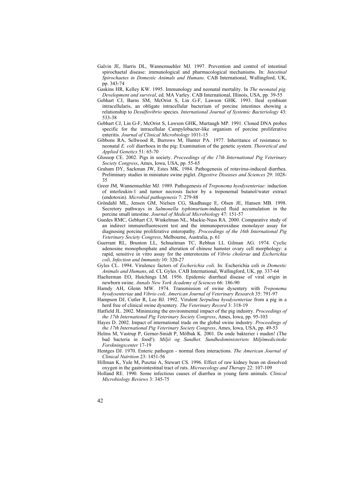- Galvin JE, Harris DL, Wannemuehler MJ. 1997. Prevention and control of intestinal spirochaetal disease: immunological and pharmacological mechanisms. In: *Intestinal Spirochaetes in Domestic Animals and Humans*. CAB International, Wallingford, UK, pp. 343-74
- Gaskins HR, Kelley KW. 1995. Immunology and neonatal mortality. In *The neonatal pig. Development and survival*, ed. MA Varley. CAB International, Illinois, USA, pp. 39-55
- Gebhart CJ, Barns SM, McOrist S, Lin G-F, Lawson GHK. 1993. Ileal symbiont intracellularis, an obligate intracellular bacterium of porcine intestines showing a relationship to *Desulfovibrio* species. *International Journal of Systemic Bacteriology* 43: 533-38
- Gebhart CJ, Lin G-F, McOrist S, Lawson GHK, Murtaugh MP. 1991. Cloned DNA probes specific for the intracellular Campylobacter-like organism of porcine proliferative enteritis. *Journal of Clinical Microbiology* 1011-15
- Gibbons RA, Sellwood R, Burrows M, Hunter PA. 1977. Inheritance of resistance to neonatal *E. coli* diarrhoea in the pig: Examination of the genetic system. *Theoretical and Applied Genetics* 51: 65-70
- Glossop CE. 2002. Pigs in society. *Proceedings of the 17th International Pig Veterinary Society Congress*, Ames, Iowa, USA, pp. 55-65
- Graham DY, Sackman JW, Estes MK. 1984. Pathogenesis of rotavirus-induced diarrhea. Preliminary studies in miniature swine piglet. *Digestive Diseases and Sciences* 29: 1028- 35
- Greer JM, Wannemuehler MJ. 1989. Pathogenesis of *Treponema hyodysenteriae*: induction of interleukin-1 and tumor necrosis factor by a treponemal butanol/water extract (endotoxin). *Microbial pathogenesis* 7: 279-88
- Gröndahl ML, Jensen GM, Nielsen CG, Skadhauge E, Olsen JE, Hansen MB. 1998. Secretory pathways in *Salmonella typhimurium*-induced fluid accumulation in the porcine small intestine. *Journal of Medical Microbiology* 47: 151-57
- Guedes RMC, Gebhart CJ, Winkelman NL, Mackie-Nuss RA. 2000. Comparative study of an indirect immunofluorescent test and the immunoperoxidase monolayer assay for diagnosing porcine proliferative enteropathy. *Proceedings of the 16th International Pig Veterinary Society Congress*, Melbourne, Australia, p. 61
- Guerrant RL, Brunton LL, Schnaitman TC, Rebhun LI, Gilman AG. 1974. Cyclic adenosine monophosphate and alteration of chinese hamster ovary cell morphology: a rapid, sensitive in vitro assay for the enterotoxins of *Vibrio cholerae* and *Escherichia coli*. *Infection and Immunity* 10: 320-27
- Gyles CL. 1994. Virulence factors of *Escherichia coli*. In: Escherichia coli *in Domestic Animals and Humans*, ed. CL Gyles. CAB International, Wallingford, UK, pp. 337-64
- Haelterman EO, Hutchings LM. 1956. Epidemic diarrheal disease of viral origin in newborn swine. *Annals New York Academy of Sciences* 66: 186-90
- Hamdy AH, Glenn MW. 1974. Transmission of swine dysentery with *Treponema hyodysenteriae* and *Vibrio coli*. *American Journal of Veterinary Research* 35: 791-97
- Hampson DJ, Cutler R, Lee BJ. 1992. Virulent *Serpulina hyodysenteriae* from a pig in a herd free of clinical swine dysentery. *The Veterinary Record* 3: 318-19
- Hatfield JL. 2002. Minimizing the environmental impact of the pig industry. *Proceedings of the 17th International Pig Veterinary Society Congress*, Ames, Iowa, pp. 95-103
- Hayes D. 2002. Impact of international trade on the global swine industry. *Proceedings of the 17th International Pig Veterinary Society Congress*, Ames, Iowa, USA, pp. 49-53
- Helms M, Vastrup P, Gerner-Smidt P, Mölbak K. 2001. De onde bakterier i maden! (The bad bacteria in food!). *Miljö og Sundhet. Sundhedsministeriets Miljömedicinske Forskningscenter* 17-19
- Hentges DJ. 1970. Enteric pathogen normal flora interactions. *The American Journal of Clinical Nutrition* 23: 1451-56
- Hillman K, Yule M, Pusztai A, Stewart CS. 1996. Effect of raw kidney bean on dissolved oxygen in the gastrointestinal tract of rats. *Microecology and Therapy* 22: 107-109
- Holland RE. 1990. Some infectious causes of diarrhea in young farm animals. *Clinical Microbiology Reviews* 3: 345-75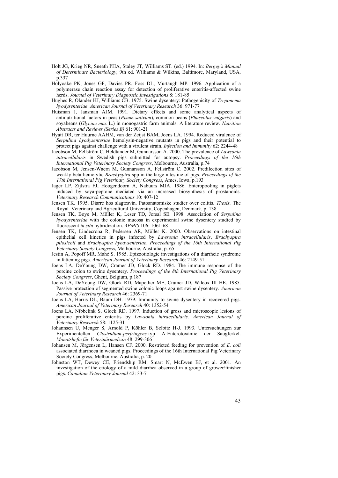- Holt JG, Krieg NR, Sneath PHA, Staley JT, Williams ST. (ed.) 1994. In: *Bergey's Manual of Determinate Bacteriology*, 9th ed. Williams & Wilkins, Baltimore, Maryland, USA, p.337
- Holyoake PK, Jones GF, Davies PR, Foss DL, Murtaugh MP. 1996. Application of a polymerase chain reaction assay for detection of proliferative enteritis-affected swine herds. *Journal of Veterinary Diagnostic Investigations* 8: 181-85
- Hughes R, Olander HJ, Williams CB. 1975. Swine dysentery: Pathogenicity of *Treponema hyodysenteriae*. *American Journal of Veterinary Research* 36: 971-77
- Huisman J, Jansman AJM. 1991. Dietary effects and some analytical aspects of antinutritional factors in peas (*Pisum sativum*), common beans (*Phaseolus vulgaris*) and soyabeans (*Glycine max* L.) in monogastric farm animals. A literature review. *Nutrition Abstracts and Reviews (Series B)* 61: 901-21
- Hyatt DR, ter Huurne AAHM, van der Zeijst BAM, Joens LA. 1994. Reduced virulence of *Serpulina hyodysenteriae* hemolysin-negative mutants in pigs and their potential to protect pigs against challenge with a virulent strain. *Infection and Immunity* 62: 2244-48
- Jacobson M, Fellström C, Heldtander M, Gunnarsson A. 2000. The prevalence of *Lawsonia intracellularis* in Swedish pigs submitted for autopsy. *Proceedings of the 16th International Pig Veterinary Society Congress*, Melbourne, Australia, p.74
- Jacobson M, Jensen-Waern M, Gunnarsson A, Fellström C. 2002. Predilection sites of weakly beta-hemolytic *Brachyspira* spp in the large intestine of pigs. *Proceedings of the 17th International Pig Veterinary Society Congress*, Ames, Iowa, p.193
- Jager LP, Zijlstra FJ, Hoogendoorn A, Nabuurs MJA. 1986. Enteropooling in piglets induced by soya-peptone mediated via an increased biosynthesis of prostanoids. *Veterinary Research Communications* 10: 407-12
- Jensen TK. 1995. Diarré hos slagtesvin. Patoanatomiske studier over colitis. *Thesis*. The Royal Veterinary and Agricultural University, Copenhagen, Denmark, p. 138
- Jensen TK, Boye M, Möller K, Leser TD, Jorsal SE. 1998. Association of *Serpulina hyodysenteriae* with the colonic mucosa in experimental swine dysentery studied by fluorescent *in situ* hybridization. *APMIS* 106: 1061-68
- Jensen TK, Lindecrona R, Pedersen AR, Möller K. 2000. Observations on intestinal epithelial cell kinetics in pigs infected by *Lawsonia intracellularis*, *Brachyspira pilosicoli* and *Brachyspira hyodysenteriae*. *Proceedings of the 16th International Pig Veterinary Society Congress*, Melbourne, Australia, p. 65
- Jestin A, Popoff MR, Mahé S. 1985. Epizootiologic investigations of a diarrheic syndrome in fattening pigs. *American Journal of Veterinary Research* 46: 2149-51
- Joens LA, DeYoung DW, Cramer JD, Glock RD. 1984. The immune response of the porcine colon to swine dysentery. *Proceedings of the 8th International Pig Veterinary Society Congress*, Ghent, Belgium, p.187
- Joens LA, DeYoung DW, Glock RD, Mapother ME, Cramer JD, Wilcox III HE. 1985. Passive protection of segmented swine colonic loops against swine dysentery. *American Journal of Veterinary Research* 46: 2369-71
- Joens LA, Harris DL, Baum DH. 1979. Immunity to swine dysentery in recovered pigs. *American Journal of Veterinary Research* 40: 1352-54
- Joens LA, Nibbelink S, Glock RD. 1997. Induction of gross and microscopic lesions of porcine proliferative enteritis by *Lawsonia intracellularis*. *American Journal of Veterinary Research* 58: 1125-31
- Johannsen U, Menger S, Arnold P, Köhler B, Selbitz H-J. 1993. Untersuchungen zur Experimentellen *Clostridium-perfringens*-typ A-Enterotoxämie der Saugferkel. *Monatshefte für Veterinärmedizin* 48: 299-306
- Johansen M, Jörgensen L, Hansen CF. 2000. Restricted feeding for prevention of *E. coli* associated diarrhoea in weaned pigs. Proceedings of the 16th International Pig Veterinary Society Congress, Melbourne, Australia, p. 20
- Johnston WT, Dewey CE, Friendship RM, Smart N, McEwen BJ, et al. 2001. An investigation of the etiology of a mild diarrhea observed in a group of grower/finisher pigs. *Canadian Veterinary Journal* 42: 33-7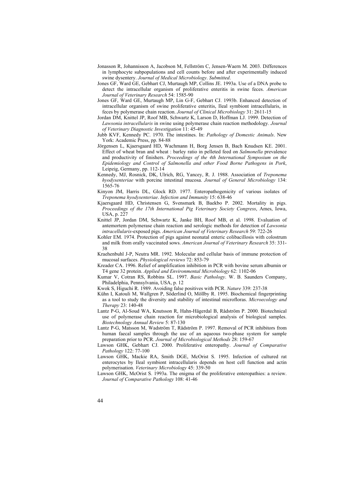- Jonasson R, Johannisson A, Jacobson M, Fellström C, Jensen-Waern M. 2003. Differences in lymphocyte subpopulations and cell counts before and after experimentally induced swine dysentery. *Journal of Medical Microbiology*. *Submitted*.
- Jones GF, Ward GE, Gebhart CJ, Murtaugh MP, Collins JE. 1993a. Use of a DNA probe to detect the intracellular organism of proliferative enteritis in swine feces. *American Journal of Veterinary Research* 54: 1585-90
- Jones GF, Ward GE, Murtaugh MP, Lin G-F, Gebhart CJ. 1993b. Enhanced detection of intracellular organism of swine proliferative enteritis, Ileal symbiont intracellularis, in feces by polymerase chain reaction. *Journal of Clinical Microbiology* 31: 2611-15
- Jordan DM, Knittel JP, Roof MB, Schwartz K, Larson D, Hoffman LJ. 1999. Detection of *Lawsonia intracellularis* in swine using polymerase chain reaction methodology. *Journal of Veterinary Diagnostic Investigation* 11: 45-49
- Jubb KVF, Kennedy PC. 1970. The intestines. In: *Pathology of Domestic Animals*. New York: Academic Press, pp. 84-88
- Jörgensen L, Kjaersgaard HD, Wachmann H, Borg Jensen B, Bach Knudsen KE. 2001. Effect of wheat bran and wheat : barley ratio in pelleted feed on *Salmonella* prevalence and productivity of finishers. *Proceedings of the 4th International Symposium on the Epidemiology and Control of Salmonella and other Food Borne Pathogens in Pork*, Leipzig, Germany, pp. 112-14
- Kennedy, MJ, Rosnick, DK, Ulrich, RG, Yancey, R. J. 1988. Association of *Treponema hyodysenteriae* with porcine intestinal mucosa. *Journal of General Microbiology* 134: 1565-76
- Kinyon JM, Harris DL, Glock RD. 1977. Enteropathogenicity of various isolates of *Treponema hyodysenteriae*. *Infection and Immunity* 15: 638-46
- Kjaersgaard HD, Christensen G, Svensmark B, Baekbo P. 2002. Mortality in pigs. *Proceedings of the 17th International Pig Veterinary Society Congress*, Ames, Iowa, USA, p. 227
- Knittel JP, Jordan DM, Schwartz K, Janke BH, Roof MB, et al. 1998. Evaluation of antemortem polymerase chain reaction and serologic methods for detection of *Lawsonia intracellularis*-exposed pigs. *American Journal of Veterinary Research* 59: 722-26
- Kohler EM. 1974. Protection of pigs against neonatal enteric colibacillosis with colostrum and milk from orally vaccinated sows. *American Journal of Veterinary Research* 35: 331- 38
- Kraehenbuhl J-P, Neutra MR. 1992. Molecular and cellular basis of immune protection of mucosal surfaces. *Physiological reviews* 72: 853-79
- Kreader CA. 1996. Relief of amplification inhibition in PCR with bovine serum albumin or T4 gene 32 protein. *Applied and Environmental Microbiology* 62: 1102-06
- Kumar V, Cotran RS, Robbins SL. 1997. *Basic Pathology*. W. B. Saunders Company, Philadelphia, Pennsylvania, USA, p. 12
- Kwok S, Higuchi R. 1989. Avoiding false positives with PCR. *Nature* 339: 237-38
- Kühn I, Katouli M, Wallgren P, Söderlind O, Möllby R. 1995. Biochemical fingerprinting as a tool to study the diversity and stability of intestinal microfloras. *Microecology and Therapy* 23: 140-48
- Lantz P-G, Al-Soud WA, Knutsson R, Hahn-Hägerdal B, Rådström P. 2000. Biotechnical use of polymerase chain reaction for microbiological analysis of biological samples. *Biotechnology Annual Review* 5: 87-130
- Lantz P-G, Matsson M, Wadström T, Rådström P. 1997. Removal of PCR inhibitors from human faecal samples through the use of an aqueous two-phase system for sample preparation prior to PCR. *Journal of Microbiological Methods* 28: 159-67
- Lawson GHK, Gebhart CJ. 2000. Proliferative enteropathy. *Journal of Comparative Pathology* 122: 77-100
- Lawson GHK, Mackie RA, Smith DGE, McOrist S. 1995. Infection of cultured rat enterocytes by Ileal symbiont intracellularis depends on host cell function and actin polymerisation. *Veterinary Microbiology* 45: 339-50
- Lawson GHK, McOrist S. 1993a. The enigma of the proliferative enteropathies: a review. *Journal of Comparative Pathology* 108: 41-46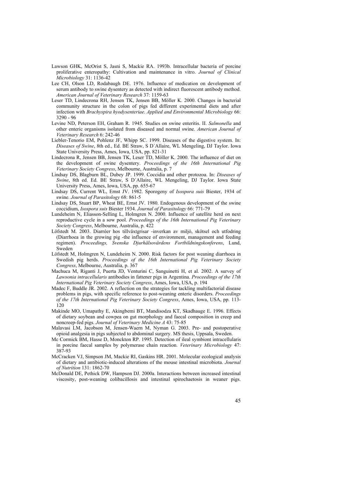- Lawson GHK, McOrist S, Jasni S, Mackie RA. 1993b. Intracellular bacteria of porcine proliferative enteropathy: Cultivation and maintenance in vitro. *Journal of Clinical Microbiology* 31: 1136-42
- Lee CH, Olson LD, Rodabaugh DE. 1976. Influence of medication on development of serum antibody to swine dysentery as detected with indirect fluorescent antibody method. *American Journal of Veterinary Research* 37: 1159-63
- Leser TD, Lindecrona RH, Jensen TK, Jensen BB, Möller K. 2000. Changes in bacterial community structure in the colon of pigs fed different experimental diets and after infection with *Brachyspira hyodysenteriae*. *Applied and Environmental Microbiology* 66: 3290 - 96
- Levine ND, Peterson EH, Graham R. 1945. Studies on swine enteritis. II. *Salmonella* and other enteric organisms isolated from diseased and normal swine. *American Journal of Veterinary Research* 6: 242-46
- Liebler-Tenorio EM, Pohlenz JF, Whipp SC. 1999. Diseases of the digestive system. In: *Diseases of Swine*, 8th ed., Ed. BE Straw, S D´Allaire, WL Mengeling, DJ Taylor. Iowa State University Press, Ames, Iowa, USA, pp. 821-31
- Lindecrona R, Jensen BB, Jensen TK, Leser TD, Möller K. 2000. The influence of diet on the development of swine dysentery. *Proceedings of the 16th International Pig Veterinary Society Congress*, Melbourne, Australia, p. 7
- Lindsay DS, Blagburn BL, Dubey JP. 1999. Coccidia and other protozoa. In: *Diseases of Swine*, 8th ed. Ed. BE Straw, S D´Allaire, WL Mengeling, DJ Taylor. Iowa State University Press, Ames, Iowa, USA, pp. 655-67
- Lindsay DS, Current WL, Ernst JV. 1982. Sporogeny of *Isospora suis* Biester, 1934 of swine. *Journal of Parasitology* 68: 861-5
- Lindsay DS, Stuart BP, Wheat BE, Ernst JV. 1980. Endogenous development of the swine coccidium, *Isospora suis* Biester 1934. *Journal of Parasitology* 66: 771-79
- Lundeheim N, Eliasson-Selling L, Holmgren N. 2000. Influence of satellite herd on next reproductive cycle in a sow pool. *Proceedings of the 16th International Pig Veterinary Society Congress*, Melbourne, Australia, p. 422
- Löfstedt M. 2003. Diarréer hos tillväxtgrisar -inverkan av miljö, skötsel och utfodring (Diarrhoea in the growing pig -the influence of environment, management and feeding regimen). *Proceedings, Svenska Djurhälsovårdens Fortbildningskonferens*, Lund, Sweden
- Löfstedt M, Holmgren N, Lundeheim N. 2000. Risk factors for post weaning diarrhoea in Swedish pig herds. *Proceedings of the 16th International Pig Veterinary Society Congress*, Melbourne, Australia, p. 367
- Machuca M, Riganti J, Puerta JD, Venturini C, Sanguinetti H, et al. 2002. A survey of *Lawsonia intracellularis* antibodies in fattener pigs in Argentina. *Proceedings of the 17th International Pig Veterinary Society Congress*, Ames, Iowa, USA, p. 194
- Madec F, Buddle JR. 2002. A reflection on the strategies for tackling multifactorial disease problems in pigs, with specific reference to post-weaning enteric disorders. *Proceedings of the 17th International Pig Veterinary Society Congress*, Ames, Iowa, USA, pp. 113- 120
- Makinde MO, Umapathy E, Akingbemi BT, Mandisodza KT, Skadhauge E. 1996. Effects of dietary soybean and cowpea on gut morphology and faecal composition in creep and noncreep-fed pigs. *Journal of Veterinary Medicine A* 43: 75-85
- Malavasi LM, Jacobson M, Jensen-Waern M, Nyman G. 2003. Pre- and postoperative opioid analgesia in pigs subjected to abdominal surgery. MS thesis, Uppsala, Sweden.
- Mc Cormick BM, Hasse D, Monckton RP. 1995. Detection of ileal symbiont intracellularis in porcine faecal samples by polymerase chain reaction. *Veterinary Microbiology* 47: 387-93
- McCracken VJ, Simpson JM, Mackie RI, Gaskins HR. 2001. Molecular ecological analysis of dietary and antibiotic-induced alterations of the mouse intestinal microbiota. *Journal of Nutrition* 131: 1862-70
- McDonald DE, Pethick DW, Hampson DJ. 2000a. Interactions between increased intestinal viscosity, post-weaning colibacillosis and intestinal spirochaetosis in weaner pigs.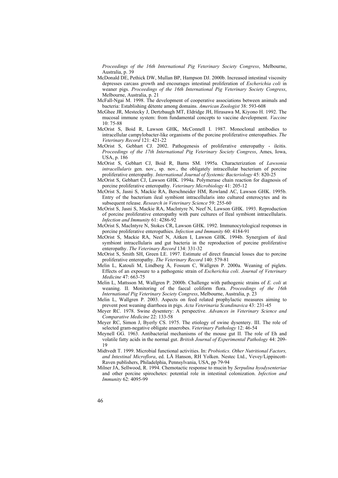*Proceedings of the 16th International Pig Veterinary Society Congress*, Melbourne, Australia, p. 39

- McDonald DE, Pethick DW, Mullan BP, Hampson DJ. 2000b. Increased intestinal viscosity depresses carcass growth and encourages intestinal proliferation of *Escherichia coli* in weaner pigs. *Proceedings of the 16th International Pig Veterinary Society Congress*, Melbourne, Australia, p. 21
- McFall-Ngai M. 1998. The development of cooperative associations between animals and bacteria: Establishing détente among domains. *American Zoologist* 38: 593-608
- McGhee JR, Mestecky J, Dertzbaugh MT, Eldridge JH, Hirasawa M, Kiyono H. 1992. The mucosal immune system: from fundamental concepts to vaccine development. *Vaccine*  $10.75 - 88$
- McOrist S, Boid R, Lawson GHK, McConnell I. 1987. Monoclonal antibodies to intracellular campylobacter-like organisms of the porcine proliferative enteropathies. *The Veterinary Record* 121: 421-22
- McOrist S, Gebhart CJ. 2002. Pathogenesis of proliferative enteropathy ileitis. *Proceedings of the 17th International Pig Veterinary Society Congress*, Ames, Iowa, USA, p. 186
- McOrist S, Gebhart CJ, Boid R, Barns SM. 1995a. Characterization of *Lawsonia intracellularis* gen. nov., sp. nov., the obligately intracellular bacterium of porcine proliferative enteropathy. *International Journal of Systemic Bacteriology* 45: 820-25
- McOrist S, Gebhart CJ, Lawson GHK. 1994a. Polymerase chain reaction for diagnosis of porcine proliferative enteropathy. *Veterinary Microbiology* 41: 205-12
- McOrist S, Jasni S, Mackie RA, Berschneider HM, Rowland AC, Lawson GHK. 1995b. Entry of the bacterium ileal symbiont intracellularis into cultured enterocytes and its subsequent release. *Research in Veterinary Science* 59: 255-60
- McOrist S, Jasni S, Mackie RA, MacIntyre N, Neef N, Lawson GHK. 1993. Reproduction of porcine proliferative enteropathy with pure cultures of Ileal symbiont intracellularis. *Infection and Immunity* 61: 4286-92
- McOrist S, MacIntyre N, Stokes CR, Lawson GHK. 1992. Immunocytological responses in porcine proliferative enteropathies. *Infection and Immunity* 60: 4184-91
- McOrist S, Mackie RA, Neef N, Aitken I, Lawson GHK. 1994b. Synergism of ileal symbiont intracellularis and gut bacteria in the reproduction of porcine proliferative enteropathy. *The Veterinary Record* 134: 331-32
- McOrist S, Smith SH, Green LE. 1997. Estimate of direct financial losses due to porcine proliferative enteropathy. *The Veterinary Record* 140: 579-81
- Melin L, Katouli M, Lindberg Å, Fossum C, Wallgren P. 2000a. Weaning of piglets. Effects of an exposure to a pathogenic strain of *Escherichia coli*. *Journal of Veterinary Medicine* 47: 663-75
- Melin L, Mattsson M, Wallgren P. 2000b. Challenge with pathogenic strains of *E. coli* at weaning. II. Monitoring of the faecal coliform flora. *Proceedings of the 16th International Pig Veterinary Society Congress*, Melbourne, Australia, p. 23
- Melin L, Wallgren P. 2003. Aspects on feed related prophylactic measures aiming to prevent post weaning diarrhoea in pigs. *Acta Veterinaria Scandinavica* 43: 231-45
- Meyer RC. 1978. Swine dysentery: A perspective. *Advances in Veterinary Science and Comparative Medicine* 22: 133-58
- Meyer RC, Simon J, Byerly CS. 1975. The etiology of swine dysentery. III. The role of selected gram-negative obligate anaerobes. *Veterinary Pathology* 12: 46-54
- Meynell GG. 1963. Antibacterial mechanisms of the mouse gut II. The role of Eh and volatile fatty acids in the normal gut. *British Journal of Experimental Pathology* 44: 209- 19
- Midtvedt T. 1999. Microbial functional activities. In: *Probiotics. Other Nutritional Factors, and Intestinal Microflora*, ed. LÅ Hanson, RH Yolken. Nestec Ltd., Vevey/Lippincott-Raven publishers, Philadelphia, Pennsylvania, USA, pp 79-94
- Milner JA, Sellwood, R. 1994. Chemotactic response to mucin by *Serpulina hyodysenteriae* and other porcine spirochetes: potential role in intestinal colonization. *Infection and Immunity* 62: 4095-99